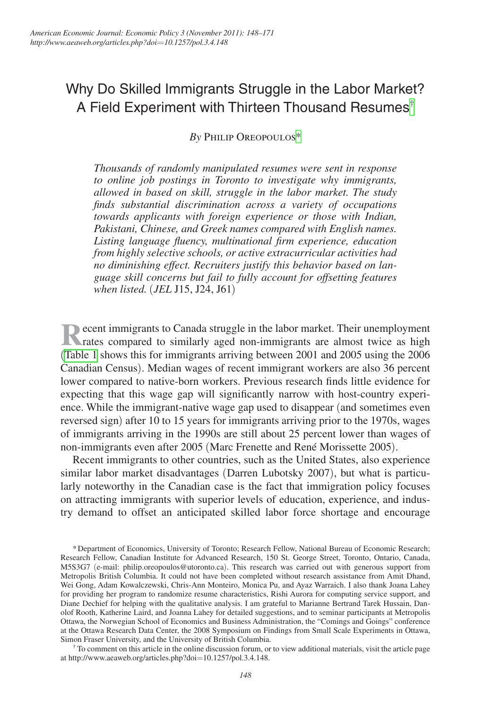# Why Do Skilled Immigrants Struggle in the Labor Market? A Field Experiment with Thirteen Thousand Resumes[†](#page-0-0)

*By* Philip Oreopoulos[\\*](#page-0-1)

*Thousands of randomly manipulated resumes were sent in response to online job postings in Toronto to investigate why immigrants, allowed in based on skill, struggle in the labor market. The study finds substantial discrimination across a variety of occupations towards applicants with foreign experience or those with Indian, Pakistani, Chinese, and Greek names compared with English names. Listing language fluency, multinational firm experience, education from highly selective schools, or active extracurricular activities had no diminishing effect. Recruiters justify this behavior based on language skill concerns but fail to fully account for offsetting features when listed.* (*JEL* J15, J24, J61)

**Recent immigrants to Canada struggle in the labor market. Their unemployment rates compared to similarly aged non-immigrants are almost twice as high** ([Table 1](#page-1-0) shows this for immigrants arriving between 2001 and 2005 using the 2006 Canadian Census). Median wages of recent immigrant workers are also 36 percent lower compared to native-born workers. Previous research finds little evidence for expecting that this wage gap will significantly narrow with host-country experience. While the immigrant-native wage gap used to disappear (and sometimes even reversed sign) after 10 to 15 years for immigrants arriving prior to the 1970s, wages of immigrants arriving in the 1990s are still about 25 percent lower than wages of non-immigrants even after 2005 (Marc Frenette and René Morissette 2005).

Recent immigrants to other countries, such as the United States, also experience similar labor market disadvantages (Darren Lubotsky 2007), but what is particularly noteworthy in the Canadian case is the fact that immigration policy focuses on attracting immigrants with superior levels of education, experience, and industry demand to offset an anticipated skilled labor force shortage and encourage

<span id="page-0-1"></span><sup>\*</sup>Department of Economics, University of Toronto; Research Fellow, National Bureau of Economic Research; Research Fellow, Canadian Institute for Advanced Research, 150 St. George Street, Toronto, Ontario, Canada, M5S3G7 (e-mail: philip.oreopoulos@utoronto.ca). This research was carried out with generous support from Metropolis British Columbia. It could not have been completed without research assistance from Amit Dhand, Wei Gong, Adam Kowalczewski, Chris-Ann Monteiro, Monica Pu, and Ayaz Warraich. I also thank Joana Lahey for providing her program to randomize resume characteristics, Rishi Aurora for computing service support, and Diane Dechief for helping with the qualitative analysis. I am grateful to Marianne Bertrand Tarek Hussain, Danolof Rooth, Katherine Laird, and Joanna Lahey for detailed suggestions, and to seminar participants at Metropolis Ottawa, the Norwegian School of Economics and Business Administration, the "Comings and Goings" conference at the Ottawa Research Data Center, the 2008 Symposium on Findings from Small Scale Experiments in Ottawa, Simon Fraser University, and the University of British Columbia.<br>† To comment on this article in the online discussion forum, or to view additional materials, visit the article page

<span id="page-0-0"></span>at [http://www.aeaweb.org/articles.php?doi](http://www.aeaweb.org/articles.php?doi=10.1257/pol.3.4.148)=10.1257/pol.3.4.148.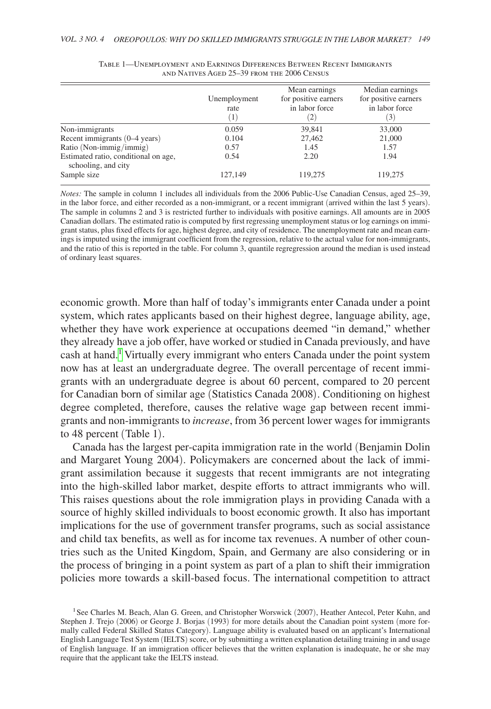<span id="page-1-0"></span>

|                                                             |                  | Mean earnings        | Median earnings      |
|-------------------------------------------------------------|------------------|----------------------|----------------------|
|                                                             | Unemployment     | for positive earners | for positive earners |
|                                                             | rate             | in labor force       | in labor force       |
|                                                             | $\left(1\right)$ | $^{(2)}$             | (3)                  |
| Non-immigrants                                              | 0.059            | 39,841               | 33,000               |
| Recent immigrants (0–4 years)                               | 0.104            | 27,462               | 21,000               |
| Ratio (Non-immig/immig)                                     | 0.57             | 1.45                 | 1.57                 |
| Estimated ratio, conditional on age,<br>schooling, and city | 0.54             | 2.20                 | 1.94                 |
| Sample size                                                 | 127,149          | 119,275              | 119,275              |

Table 1—Unemployment and Earnings Differences Between Recent Immigrants and Natives Aged 25–39 from the 2006 Census

*Notes:* The sample in column 1 includes all individuals from the 2006 Public-Use Canadian Census, aged 25–39, in the labor force, and either recorded as a non-immigrant, or a recent immigrant (arrived within the last 5 years). The sample in columns 2 and 3 is restricted further to individuals with positive earnings. All amounts are in 2005 Canadian dollars. The estimated ratio is computed by first regressing unemployment status or log earnings on immigrant status, plus fixed effects for age, highest degree, and city of residence. The unemployment rate and mean earnings is imputed using the immigrant coefficient from the regression, relative to the actual value for non-immigrants, and the ratio of this is reported in the table. For column 3, quantile regregression around the median is used instead of ordinary least squares.

economic growth. More than half of today's immigrants enter Canada under a point system, which rates applicants based on their highest degree, language ability, age, whether they have work experience at occupations deemed "in demand," whether they already have a job offer, have worked or studied in Canada previously, and have cash at hand.<sup>[1](#page-1-1)</sup> Virtually every immigrant who enters Canada under the point system now has at least an undergraduate degree. The overall percentage of recent immigrants with an undergraduate degree is about 60 percent, compared to 20 percent for Canadian born of similar age (Statistics Canada 2008). Conditioning on highest degree completed, therefore, causes the relative wage gap between recent immigrants and non-immigrants to *increase*, from 36 percent lower wages for immigrants to 48 percent (Table 1).

Canada has the largest per-capita immigration rate in the world (Benjamin Dolin and Margaret Young 2004). Policymakers are concerned about the lack of immigrant assimilation because it suggests that recent immigrants are not integrating into the high-skilled labor market, despite efforts to attract immigrants who will. This raises questions about the role immigration plays in providing Canada with a source of highly skilled individuals to boost economic growth. It also has important implications for the use of government transfer programs, such as social assistance and child tax benefits, as well as for income tax revenues. A number of other countries such as the United Kingdom, Spain, and Germany are also considering or in the process of bringing in a point system as part of a plan to shift their immigration policies more towards a skill-based focus. The international competition to attract

<span id="page-1-1"></span><sup>&</sup>lt;sup>1</sup> See Charles M. Beach, Alan G. Green, and Christopher Worswick (2007), Heather Antecol, Peter Kuhn, and Stephen J. Trejo (2006) or George J. Borjas (1993) for more details about the Canadian point system (more formally called Federal Skilled Status Category). Language ability is evaluated based on an applicant's International English Language Test System (IELTS) score, or by submitting a written explanation detailing training in and usage of English language. If an immigration officer believes that the written explanation is inadequate, he or she may require that the applicant take the IELTS instead.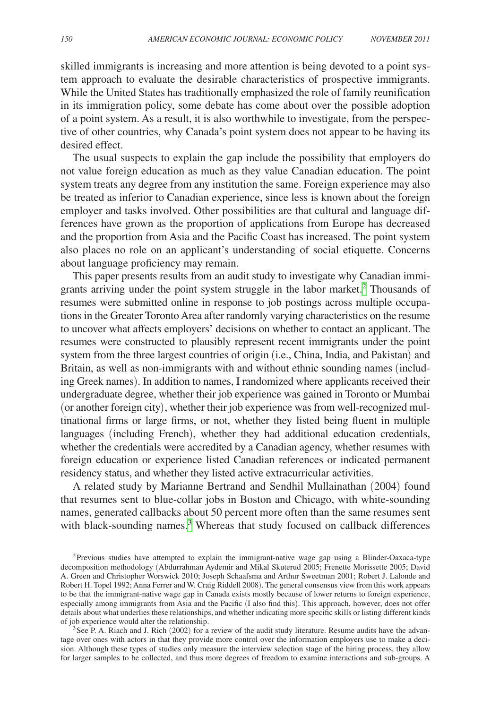skilled immigrants is increasing and more attention is being devoted to a point system approach to evaluate the desirable characteristics of prospective immigrants. While the United States has traditionally emphasized the role of family reunification in its immigration policy, some debate has come about over the possible adoption of a point system. As a result, it is also worthwhile to investigate, from the perspective of other countries, why Canada's point system does not appear to be having its desired effect.

The usual suspects to explain the gap include the possibility that employers do not value foreign education as much as they value Canadian education. The point system treats any degree from any institution the same. Foreign experience may also be treated as inferior to Canadian experience, since less is known about the foreign employer and tasks involved. Other possibilities are that cultural and language differences have grown as the proportion of applications from Europe has decreased and the proportion from Asia and the Pacific Coast has increased. The point system also places no role on an applicant's understanding of social etiquette. Concerns about language proficiency may remain.

This paper presents results from an audit study to investigate why Canadian immi-grants arriving under the point system struggle in the labor market.<sup>[2](#page-2-0)</sup> Thousands of resumes were submitted online in response to job postings across multiple occupations in the Greater Toronto Area after randomly varying characteristics on the resume to uncover what affects employers' decisions on whether to contact an applicant. The resumes were constructed to plausibly represent recent immigrants under the point system from the three largest countries of origin (i.e., China, India, and Pakistan) and Britain, as well as non-immigrants with and without ethnic sounding names (including Greek names). In addition to names, I randomized where applicants received their undergraduate degree, whether their job experience was gained in Toronto or Mumbai (or another foreign city), whether their job experience was from well-recognized multinational firms or large firms, or not, whether they listed being fluent in multiple languages (including French), whether they had additional education credentials, whether the credentials were accredited by a Canadian agency, whether resumes with foreign education or experience listed Canadian references or indicated permanent residency status, and whether they listed active extracurricular activities.

A related study by Marianne Bertrand and Sendhil Mullainathan (2004) found that resumes sent to blue-collar jobs in Boston and Chicago, with white-sounding names, generated callbacks about 50 percent more often than the same resumes sent with black-sounding names.<sup>[3](#page-2-1)</sup> Whereas that study focused on callback differences

<span id="page-2-1"></span> $3$ See P. A. Riach and J. Rich (2002) for a review of the audit study literature. Resume audits have the advantage over ones with actors in that they provide more control over the information employers use to make a decision. Although these types of studies only measure the interview selection stage of the hiring process, they allow for larger samples to be collected, and thus more degrees of freedom to examine interactions and sub-groups. A

<span id="page-2-0"></span><sup>&</sup>lt;sup>2</sup>Previous studies have attempted to explain the immigrant-native wage gap using a Blinder-Oaxaca-type decomposition methodology (Abdurrahman Aydemir and Mikal Skuterud 2005; Frenette Morissette 2005; David A. Green and Christopher Worswick 2010; Joseph Schaafsma and Arthur Sweetman 2001; Robert J. Lalonde and Robert H. Topel 1992; Anna Ferrer and W. Craig Riddell 2008). The general consensus view from this work appears to be that the immigrant-native wage gap in Canada exists mostly because of lower returns to foreign experience, especially among immigrants from Asia and the Pacific (I also find this). This approach, however, does not offer details about what underlies these relationships, and whether indicating more specific skills or listing different kinds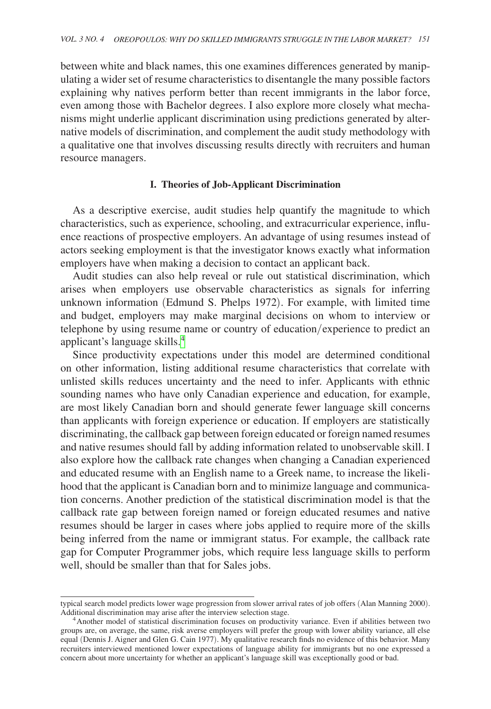<span id="page-3-0"></span>between white and black names, this one examines differences generated by manipulating a wider set of resume characteristics to disentangle the many possible factors explaining why natives perform better than recent immigrants in the labor force, even among those with Bachelor degrees. I also explore more closely what mechanisms might underlie applicant discrimination using predictions generated by alternative models of discrimination, and complement the audit study methodology with a qualitative one that involves discussing results directly with recruiters and human resource managers.

# **I. Theories of Job-Applicant Discrimination**

As a descriptive exercise, audit studies help quantify the magnitude to which characteristics, such as experience, schooling, and extracurricular experience, influence reactions of prospective employers. An advantage of using resumes instead of actors seeking employment is that the investigator knows exactly what information employers have when making a decision to contact an applicant back.

Audit studies can also help reveal or rule out statistical discrimination, which arises when employers use observable characteristics as signals for inferring unknown information (Edmund S. Phelps 1972). For example, with limited time and budget, employers may make marginal decisions on whom to interview or telephone by using resume name or country of education/experience to predict an applicant's language skills.[4](#page-3-1)

Since productivity expectations under this model are determined conditional on other information, listing additional resume characteristics that correlate with unlisted skills reduces uncertainty and the need to infer. Applicants with ethnic sounding names who have only Canadian experience and education, for example, are most likely Canadian born and should generate fewer language skill concerns than applicants with foreign experience or education. If employers are statistically discriminating, the callback gap between foreign educated or foreign named resumes and native resumes should fall by adding information related to unobservable skill. I also explore how the callback rate changes when changing a Canadian experienced and educated resume with an English name to a Greek name, to increase the likelihood that the applicant is Canadian born and to minimize language and communication concerns. Another prediction of the statistical discrimination model is that the callback rate gap between foreign named or foreign educated resumes and native resumes should be larger in cases where jobs applied to require more of the skills being inferred from the name or immigrant status. For example, the callback rate gap for Computer Programmer jobs, which require less language skills to perform well, should be smaller than that for Sales jobs.

typical search model predicts lower wage progression from slower arrival rates of job offers (Alan Manning 2000).<br>Additional discrimination may arise after the interview selection stage.

<span id="page-3-1"></span><sup>&</sup>lt;sup>4</sup> Another model of statistical discrimination focuses on productivity variance. Even if abilities between two groups are, on average, the same, risk averse employers will prefer the group with lower ability variance, all else equal (Dennis J. Aigner and Glen G. Cain 1977). My qualitative research finds no evidence of this behavior. Many recruiters interviewed mentioned lower expectations of language ability for immigrants but no one expressed a concern about more uncertainty for whether an applicant's language skill was exceptionally good or bad.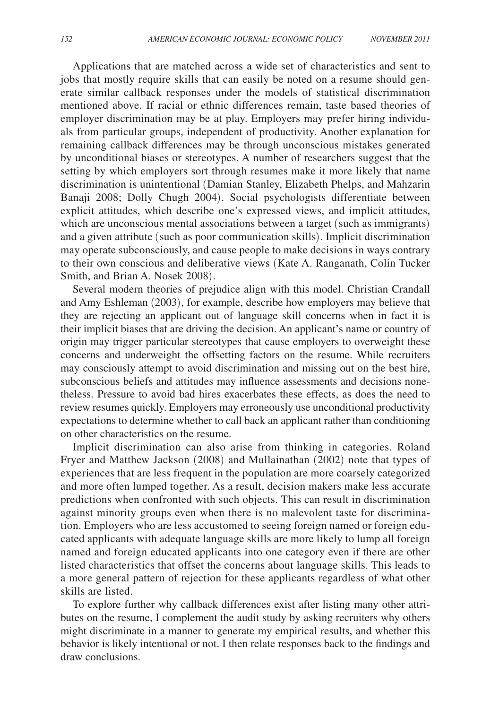Applications that are matched across a wide set of characteristics and sent to jobs that mostly require skills that can easily be noted on a resume should generate similar callback responses under the models of statistical discrimination mentioned above. If racial or ethnic differences remain, taste based theories of employer discrimination may be at play. Employers may prefer hiring individuals from particular groups, independent of productivity. Another explanation for remaining callback differences may be through unconscious mistakes generated by unconditional biases or stereotypes. A number of researchers suggest that the setting by which employers sort through resumes make it more likely that name discrimination is unintentional (Damian Stanley, Elizabeth Phelps, and Mahzarin Banaji 2008; Dolly Chugh 2004). Social psychologists differentiate between explicit attitudes, which describe one's expressed views, and implicit attitudes, which are unconscious mental associations between a target (such as immigrants) and a given attribute (such as poor communication skills). Implicit discrimination may operate subconsciously, and cause people to make decisions in ways contrary to their own conscious and deliberative views (Kate A. Ranganath, Colin Tucker Smith, and Brian A. Nosek 2008).

Several modern theories of prejudice align with this model. Christian Crandall and Amy Eshleman (2003), for example, describe how employers may believe that they are rejecting an applicant out of language skill concerns when in fact it is their implicit biases that are driving the decision. An applicant's name or country of origin may trigger particular stereotypes that cause employers to overweight these concerns and underweight the offsetting factors on the resume. While recruiters may consciously attempt to avoid discrimination and missing out on the best hire, subconscious beliefs and attitudes may influence assessments and decisions nonetheless. Pressure to avoid bad hires exacerbates these effects, as does the need to review resumes quickly. Employers may erroneously use unconditional productivity expectations to determine whether to call back an applicant rather than conditioning on other characteristics on the resume.

Implicit discrimination can also arise from thinking in categories. Roland Fryer and Matthew Jackson (2008) and Mullainathan (2002) note that types of experiences that are less frequent in the population are more coarsely categorized and more often lumped together. As a result, decision makers make less accurate predictions when confronted with such objects. This can result in discrimination against minority groups even when there is no malevolent taste for discrimination. Employers who are less accustomed to seeing foreign named or foreign educated applicants with adequate language skills are more likely to lump all foreign named and foreign educated applicants into one category even if there are other listed characteristics that offset the concerns about language skills. This leads to a more general pattern of rejection for these applicants regardless of what other skills are listed.

To explore further why callback differences exist after listing many other attributes on the resume, I complement the audit study by asking recruiters why others might discriminate in a manner to generate my empirical results, and whether this behavior is likely intentional or not. I then relate responses back to the findings and draw conclusions.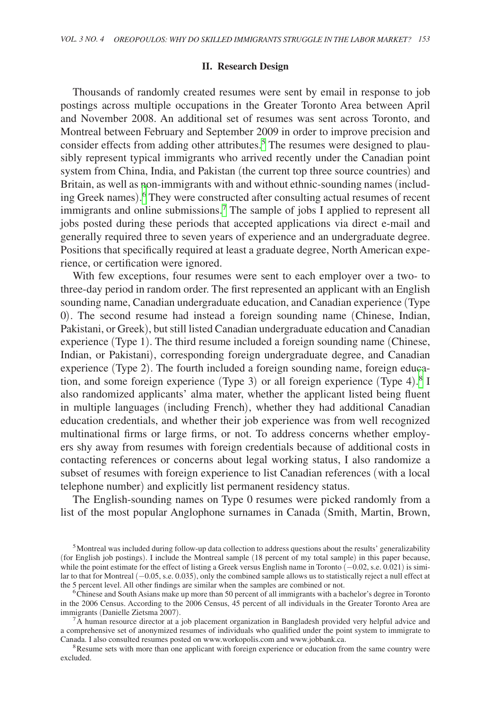## **II. Research Design**

<span id="page-5-0"></span>Thousands of randomly created resumes were sent by email in response to job postings across multiple occupations in the Greater Toronto Area between April and November 2008. An additional set of resumes was sent across Toronto, and Montreal between February and September 2009 in order to improve precision and consider effects from adding other attributes.<sup>[5](#page-5-1)</sup> The resumes were designed to plausibly represent typical immigrants who arrived recently under the Canadian point system from China, India, and Pakistan (the current top three source countries) and Britain, as well as non-immigrants with and without ethnic-sounding names (including Greek names). [6](#page-5-2) They were constructed after consulting actual resumes of recent immigrants and online submissions.<sup>7</sup> The sample of jobs I applied to represent all jobs posted during these periods that accepted applications via direct e-mail and generally required three to seven years of experience and an undergraduate degree. Positions that specifically required at least a graduate degree, North American experience, or certification were ignored.

With few exceptions, four resumes were sent to each employer over a two- to three-day period in random order. The first represented an applicant with an English sounding name, Canadian undergraduate education, and Canadian experience (Type 0). The second resume had instead a foreign sounding name (Chinese, Indian, Pakistani, or Greek), but still listed Canadian undergraduate education and Canadian experience (Type 1). The third resume included a foreign sounding name (Chinese, Indian, or Pakistani), corresponding foreign undergraduate degree, and Canadian experience (Type 2). The fourth included a foreign sounding name, foreign education, and some foreign experience (Type 3) or all foreign experience (Type 4). [8](#page-5-4) I also randomized applicants' alma mater, whether the applicant listed being fluent in multiple languages (including French), whether they had additional Canadian education credentials, and whether their job experience was from well recognized multinational firms or large firms, or not. To address concerns whether employers shy away from resumes with foreign credentials because of additional costs in contacting references or concerns about legal working status, I also randomize a subset of resumes with foreign experience to list Canadian references (with a local telephone number) and explicitly list permanent residency status.

The English-sounding names on Type 0 resumes were picked randomly from a list of the most popular Anglophone surnames in Canada (Smith, Martin, Brown,

<span id="page-5-1"></span><sup>&</sup>lt;sup>5</sup>Montreal was included during follow-up data collection to address questions about the results' generalizability (for English job postings). I include the Montreal sample (18 percent of my total sample) in this paper because, while the point estimate for the effect of listing a Greek versus English name in Toronto  $(-0.02, s.e. 0.021)$  is similar to that for Montreal (−0.05, s.e. 0.035), only the combined sample allows us to statistically reject a null effect at

<span id="page-5-2"></span> $6$ Chinese and South Asians make up more than 50 percent of all immigrants with a bachelor's degree in Toronto in the 2006 Census. According to the  $2006$  Census,  $45$  percent of all individuals in the Greater Toronto Area are immigrants (Danielle Zietsma 2007).

<span id="page-5-3"></span> ${}^{7}$ Å human resource director at a job placement organization in Bangladesh provided very helpful advice and a comprehensive set of anonymized resumes of individuals who qualified under the point system to immigrate to Canada. I also consulted resumes posted on www.workopolis.com and www.jobbank.ca. <sup>8</sup>Resume sets with more than one applicant with foreign experience or education from the same country were

<span id="page-5-4"></span>excluded.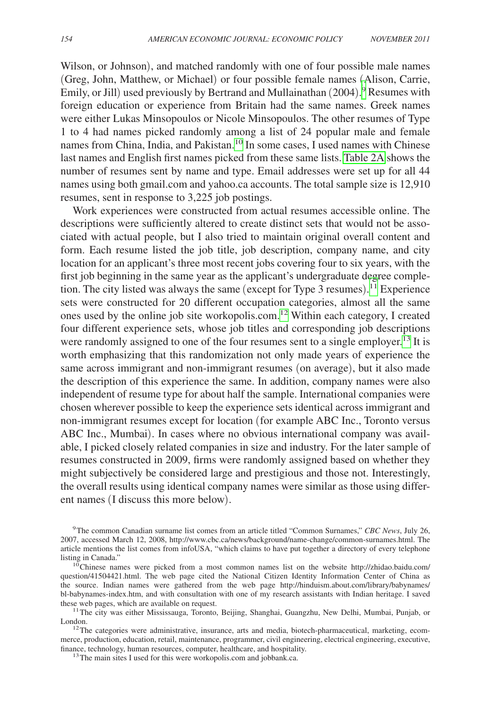Wilson, or Johnson), and matched randomly with one of four possible male names (Greg, John, Matthew, or Michael) or four possible female names (Alison, Carrie, Emily, or Jill) used previously by Bertrand and Mullainathan (2004).<sup>[9](#page-6-0)</sup> Resumes with foreign education or experience from Britain had the same names. Greek names were either Lukas Minsopoulos or Nicole Minsopoulos. The other resumes of Type 1 to 4 had names picked randomly among a list of 24 popular male and female names from China, India, and Pakistan.[10](#page-6-1) In some cases, I used names with Chinese last names and English first names picked from these same lists. [Table 2A](#page-7-0) shows the number of resumes sent by name and type. Email addresses were set up for all 44 names using both gmail.com and yahoo.ca accounts. The total sample size is 12,910 resumes, sent in response to 3,225 job postings.

Work experiences were constructed from actual resumes accessible online. The descriptions were sufficiently altered to create distinct sets that would not be associated with actual people, but I also tried to maintain original overall content and form. Each resume listed the job title, job description, company name, and city location for an applicant's three most recent jobs covering four to six years, with the first job beginning in the same year as the applicant's undergraduate degree completion. The city listed was always the same (except for Type 3 resumes). [11](#page-6-2) Experience sets were constructed for 20 different occupation categories, almost all the same ones used by the online job site workopolis.com.[12](#page-6-3) Within each category, I created four different experience sets, whose job titles and corresponding job descriptions were randomly assigned to one of the four resumes sent to a single employer.<sup>13</sup> It is worth emphasizing that this randomization not only made years of experience the same across immigrant and non-immigrant resumes (on average), but it also made the description of this experience the same. In addition, company names were also independent of resume type for about half the sample. International companies were chosen wherever possible to keep the experience sets identical across immigrant and non-immigrant resumes except for location (for example ABC Inc., Toronto versus ABC Inc., Mumbai). In cases where no obvious international company was available, I picked closely related companies in size and industry. For the later sample of resumes constructed in 2009, firms were randomly assigned based on whether they might subjectively be considered large and prestigious and those not. Interestingly, the overall results using identical company names were similar as those using different names (I discuss this more below).

<span id="page-6-0"></span><sup>9</sup>The common Canadian surname list comes from an article titled "Common Surnames," *CBC News*, July 26, 2007, accessed March 12, 2008, http://www.cbc.ca/news/background/name-change/common-surnames.html. The article mentions the list comes from infoUSA, "which claims to have put together a directory of every telephone listing in Canada."

<span id="page-6-1"></span> $10^{\circ}$ Chinese names were picked from a most common names list on the website http://zhidao.baidu.com/ question/41504421.html. The web page cited the National Citizen Identity Information Center of China as the source. Indian names were gathered from the web page http://hinduism.about.com/library/babynames/ [bl-babynames-index.htm, and with consultation with one of my research assistants with Indian heritage. I saved](http://hinduism.about.com/library/babynames/bl-babynames-index.htm) 

<span id="page-6-2"></span><sup>&</sup>lt;sup>11</sup> The city was either Mississauga, Toronto, Beijing, Shanghai, Guangzhu, New Delhi, Mumbai, Punjab, or London.<br><sup>12</sup>The categories were administrative, insurance, arts and media, biotech-pharmaceutical, marketing, ecom-

<span id="page-6-3"></span>merce, production, education, retail, maintenance, programmer, civil engineering, electrical engineering, executive, finance, technology, human resources, computer, healthcare, and hospitality.

<span id="page-6-4"></span><sup>&</sup>lt;sup>13</sup> The main sites I used for this were workopolis.com and jobbank.ca.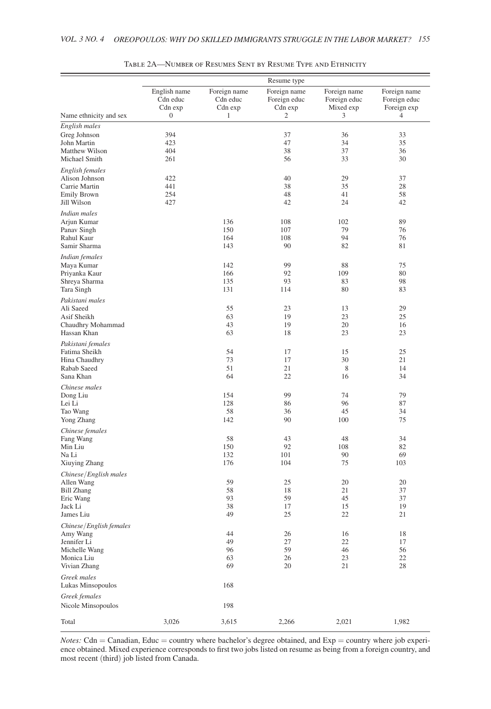<span id="page-7-0"></span>

|                                                                                                   |                                          |                                          | Resume type                                  |                                                |                                                  |
|---------------------------------------------------------------------------------------------------|------------------------------------------|------------------------------------------|----------------------------------------------|------------------------------------------------|--------------------------------------------------|
| Name ethnicity and sex                                                                            | English name<br>Cdn educ<br>Cdn exp<br>0 | Foreign name<br>Cdn educ<br>Cdn exp<br>1 | Foreign name<br>Foreign educ<br>Cdn exp<br>2 | Foreign name<br>Foreign educ<br>Mixed exp<br>3 | Foreign name<br>Foreign educ<br>Foreign exp<br>4 |
| English males                                                                                     |                                          |                                          |                                              |                                                |                                                  |
| Greg Johnson<br>John Martin<br>Matthew Wilson<br>Michael Smith                                    | 394<br>423<br>404<br>261                 |                                          | 37<br>47<br>38<br>56                         | 36<br>34<br>37<br>33                           | 33<br>35<br>36<br>30                             |
| English females                                                                                   |                                          |                                          |                                              |                                                |                                                  |
| Alison Johnson<br>Carrie Martin<br><b>Emily Brown</b><br>Jill Wilson                              | 422<br>441<br>254<br>427                 |                                          | 40<br>38<br>48<br>42                         | 29<br>35<br>41<br>24                           | 37<br>28<br>58<br>42                             |
| Indian males<br>Arjun Kumar<br>Panav Singh<br>Rahul Kaur<br>Samir Sharma                          |                                          | 136<br>150<br>164<br>143                 | 108<br>107<br>108<br>90                      | 102<br>79<br>94<br>82                          | 89<br>76<br>76<br>81                             |
| Indian females<br>Maya Kumar<br>Priyanka Kaur<br>Shreya Sharma<br>Tara Singh                      |                                          | 142<br>166<br>135<br>131                 | 99<br>92<br>93<br>114                        | 88<br>109<br>83<br>80                          | 75<br>80<br>98<br>83                             |
| Pakistani males<br>Ali Saeed<br>Asif Sheikh<br>Chaudhry Mohammad<br>Hassan Khan                   |                                          | 55<br>63<br>43<br>63                     | 23<br>19<br>19<br>18                         | 13<br>23<br>20<br>23                           | 29<br>25<br>16<br>23                             |
| Pakistani females<br>Fatima Sheikh<br>Hina Chaudhry<br>Rabab Saeed<br>Sana Khan                   |                                          | 54<br>73<br>51<br>64                     | 17<br>17<br>21<br>22                         | 15<br>30<br>8<br>16                            | 25<br>21<br>14<br>34                             |
| Chinese males<br>Dong Liu<br>Lei Li<br>Tao Wang<br>Yong Zhang                                     |                                          | 154<br>128<br>58<br>142                  | 99<br>86<br>36<br>90                         | 74<br>96<br>45<br>100                          | 79<br>87<br>34<br>75                             |
| Chinese females<br>Fang Wang<br>Min Liu<br>Na Li<br>Xiuying Zhang                                 |                                          | 58<br>150<br>132<br>176                  | 43<br>92<br>101<br>104                       | 48<br>108<br>90<br>75                          | 34<br>82<br>69<br>103                            |
| Chinese/English males<br>Allen Wang<br><b>Bill Zhang</b><br>Eric Wang<br>Jack Li<br>James Liu     |                                          | 59<br>58<br>93<br>38<br>49               | 25<br>18<br>59<br>17<br>25                   | 20<br>21<br>45<br>15<br>22                     | 20<br>37<br>37<br>19<br>21                       |
| Chinese/English females<br>Amy Wang<br>Jennifer Li<br>Michelle Wang<br>Monica Liu<br>Vivian Zhang |                                          | 44<br>49<br>96<br>63<br>69               | 26<br>27<br>59<br>26<br>20                   | 16<br>22<br>46<br>23<br>21                     | 18<br>17<br>56<br>22<br>28                       |
| Greek males<br>Lukas Minsopoulos<br>Greek females                                                 |                                          | 168                                      |                                              |                                                |                                                  |
| Nicole Minsopoulos                                                                                |                                          | 198                                      |                                              |                                                |                                                  |
| Total                                                                                             | 3,026                                    | 3,615                                    | 2,266                                        | 2,021                                          | 1,982                                            |

| Table 2A—Number of Resumes Sent by Resume Type and Ethnicity |  |  |
|--------------------------------------------------------------|--|--|
|--------------------------------------------------------------|--|--|

*Notes:* Cdn = Canadian, Educ = country where bachelor's degree obtained, and Exp = country where job experience obtained. Mixed experience corresponds to first two jobs listed on resume as being from a foreign country, an most recent (third) job listed from Canada.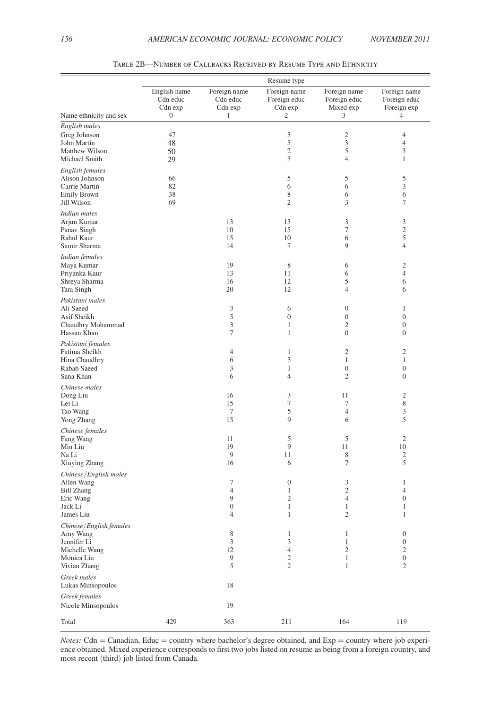|                                                                                                   | Resume type                                         |                                                                  |                                                                         |                                                                                |                                                                                    |
|---------------------------------------------------------------------------------------------------|-----------------------------------------------------|------------------------------------------------------------------|-------------------------------------------------------------------------|--------------------------------------------------------------------------------|------------------------------------------------------------------------------------|
| Name ethnicity and sex                                                                            | English name<br>Cdn educ<br>Cdn exp<br>$\mathbf{0}$ | Foreign name<br>Cdn educ<br>Cdn exp<br>1                         | Foreign name<br>Foreign educ<br>Cdn exp<br>2                            | Foreign name<br>Foreign educ<br>Mixed exp<br>3                                 | Foreign name<br>Foreign educ<br>Foreign exp<br>4                                   |
| English males                                                                                     |                                                     |                                                                  |                                                                         |                                                                                |                                                                                    |
| Greg Johnson<br>John Martin<br>Matthew Wilson<br>Michael Smith                                    | 47<br>48<br>50<br>29                                |                                                                  | 3<br>5<br>$\overline{c}$<br>3                                           | $\mathbf{2}$<br>3<br>5<br>$\overline{4}$                                       | $\overline{4}$<br>$\overline{4}$<br>3<br>$\mathbf{1}$                              |
| English females<br>Alison Johnson<br>Carrie Martin<br><b>Emily Brown</b><br>Jill Wilson           | 66<br>82<br>38<br>69                                |                                                                  | 5<br>6<br>8<br>$\overline{c}$                                           | 5<br>6<br>6<br>3                                                               | 5<br>3<br>6<br>7                                                                   |
| Indian males<br>Arjun Kumar<br>Panav Singh<br>Rahul Kaur<br>Samir Sharma                          |                                                     | 13<br>10<br>15<br>14                                             | 13<br>15<br>10<br>$\tau$                                                | 3<br>$\overline{\mathcal{I}}$<br>6<br>9                                        | 3<br>$\mathfrak{2}$<br>5<br>$\overline{4}$                                         |
| Indian females<br>Maya Kumar<br>Priyanka Kaur<br>Shreya Sharma<br>Tara Singh                      |                                                     | 19<br>13<br>16<br>20                                             | 8<br>11<br>12<br>12                                                     | 6<br>6<br>5<br>$\overline{4}$                                                  | 2<br>$\overline{4}$<br>6<br>6                                                      |
| Pakistani males<br>Ali Saeed<br>Asif Sheikh<br>Chaudhry Mohammad<br>Hassan Khan                   |                                                     | 3<br>5<br>3<br>$\tau$                                            | 6<br>$\boldsymbol{0}$<br>$\mathbf{1}$<br>$\mathbf{1}$                   | $\boldsymbol{0}$<br>$\boldsymbol{0}$<br>$\overline{c}$<br>$\boldsymbol{0}$     | 1<br>$\boldsymbol{0}$<br>$\boldsymbol{0}$<br>$\boldsymbol{0}$                      |
| Pakistani females<br>Fatima Sheikh<br>Hina Chaudhry<br>Rabab Saeed<br>Sana Khan                   |                                                     | $\overline{4}$<br>6<br>3<br>6                                    | $\mathbf{1}$<br>3<br>$\mathbf{1}$<br>$\overline{4}$                     | $\overline{c}$<br>1<br>$\boldsymbol{0}$<br>$\overline{c}$                      | $\mathfrak{2}$<br>1<br>$\boldsymbol{0}$<br>$\overline{0}$                          |
| Chinese males<br>Dong Liu<br>Lei Li<br>Tao Wang<br>Yong Zhang                                     |                                                     | 16<br>15<br>7<br>15                                              | 3<br>$\tau$<br>5<br>9                                                   | 11<br>$\tau$<br>4<br>6                                                         | $\boldsymbol{2}$<br>8<br>3<br>5                                                    |
| Chinese females<br>Fang Wang<br>Min Liu<br>Na Li<br>Xiuying Zhang                                 |                                                     | 11<br>19<br>9<br>16                                              | 5<br>9<br>11<br>6                                                       | 5<br>11<br>8<br>7                                                              | $\mathbf{2}$<br>10<br>$\boldsymbol{2}$<br>5                                        |
| Chinese/English males<br>Allen Wang<br>Bill Zhang<br>Eric Wang<br>Jack Li<br>James Liu            |                                                     | $\boldsymbol{7}$<br>$\overline{4}$<br>9<br>$\boldsymbol{0}$<br>4 | $\boldsymbol{0}$<br>1<br>$\mathfrak{2}$<br>$\mathbf{1}$<br>$\mathbf{1}$ | 3<br>$\overline{c}$<br>$\overline{4}$<br>$\mathbf{1}$<br>$\overline{c}$        | $\mathbf{1}$<br>$\overline{4}$<br>$\boldsymbol{0}$<br>$\mathbf{1}$<br>$\mathbf{1}$ |
| Chinese/English females<br>Amy Wang<br>Jennifer Li<br>Michelle Wang<br>Monica Liu<br>Vivian Zhang |                                                     | 8<br>3<br>12<br>9<br>5                                           | 1<br>3<br>$\overline{4}$<br>$\boldsymbol{2}$<br>2                       | $\mathbf{1}$<br>$\mathbf{1}$<br>$\overline{c}$<br>$\mathbf{1}$<br>$\mathbf{1}$ | $\boldsymbol{0}$<br>$\boldsymbol{0}$<br>$\mathbf{2}$<br>$\boldsymbol{0}$<br>2      |
| Greek males<br>Lukas Minsopoulos                                                                  |                                                     | 18                                                               |                                                                         |                                                                                |                                                                                    |
| Greek females<br>Nicole Minsopoulos                                                               |                                                     | 19                                                               |                                                                         |                                                                                |                                                                                    |
| Total                                                                                             | 429                                                 | 363                                                              | 211                                                                     | 164                                                                            | 119                                                                                |

Table 2B—Number of Callbacks Received by Resume Type and Ethnicity

*Notes:* Cdn = Canadian, Educ = country where bachelor's degree obtained, and Exp = country where job experience obtained. Mixed experience corresponds to first two jobs listed on resume as being from a foreign country, an most recent (third) job listed from Canada.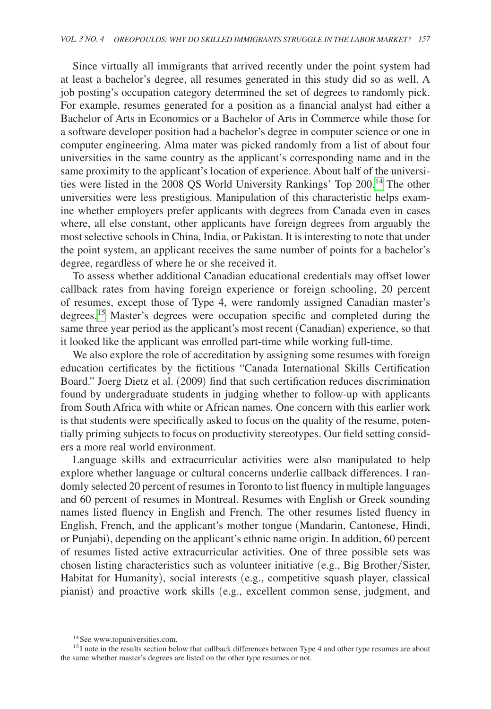Since virtually all immigrants that arrived recently under the point system had at least a bachelor's degree, all resumes generated in this study did so as well. A job posting's occupation category determined the set of degrees to randomly pick. For example, resumes generated for a position as a financial analyst had either a Bachelor of Arts in Economics or a Bachelor of Arts in Commerce while those for a software developer position had a bachelor's degree in computer science or one in computer engineering. Alma mater was picked randomly from a list of about four universities in the same country as the applicant's corresponding name and in the same proximity to the applicant's location of experience. About half of the universities were listed in the 2008 QS World University Rankings' Top 200[.14](#page-9-0) The other universities were less prestigious. Manipulation of this characteristic helps examine whether employers prefer applicants with degrees from Canada even in cases where, all else constant, other applicants have foreign degrees from arguably the most selective schools in China, India, or Pakistan. It is interesting to note that under the point system, an applicant receives the same number of points for a bachelor's degree, regardless of where he or she received it.

To assess whether additional Canadian educational credentials may offset lower callback rates from having foreign experience or foreign schooling, 20 percent of resumes, except those of Type 4, were randomly assigned Canadian master's degrees[.15](#page-9-1) Master's degrees were occupation specific and completed during the same three year period as the applicant's most recent (Canadian) experience, so that it looked like the applicant was enrolled part-time while working full-time.

We also explore the role of accreditation by assigning some resumes with foreign education certificates by the fictitious "Canada International Skills Certification Board." Joerg Dietz et al. (2009) find that such certification reduces discrimination found by undergraduate students in judging whether to follow-up with applicants from South Africa with white or African names. One concern with this earlier work is that students were specifically asked to focus on the quality of the resume, potentially priming subjects to focus on productivity stereotypes. Our field setting considers a more real world environment.

Language skills and extracurricular activities were also manipulated to help explore whether language or cultural concerns underlie callback differences. I randomly selected 20 percent of resumes in Toronto to list fluency in multiple languages and 60 percent of resumes in Montreal. Resumes with English or Greek sounding names listed fluency in English and French. The other resumes listed fluency in English, French, and the applicant's mother tongue (Mandarin, Cantonese, Hindi, or Punjabi), depending on the applicant's ethnic name origin. In addition, 60 percent of resumes listed active extracurricular activities. One of three possible sets was chosen listing characteristics such as volunteer initiative (e.g., Big Brother/Sister, Habitat for Humanity), social interests (e.g., competitive squash player, classical pianist) and proactive work skills (e.g., excellent common sense, judgment, and

<span id="page-9-1"></span><span id="page-9-0"></span>

<sup>&</sup>lt;sup>14</sup> See www.topuniversities.com.<br><sup>15</sup>I note in the results section below that callback differences between Type 4 and other type resumes are about the same whether master's degrees are listed on the other type resumes or not.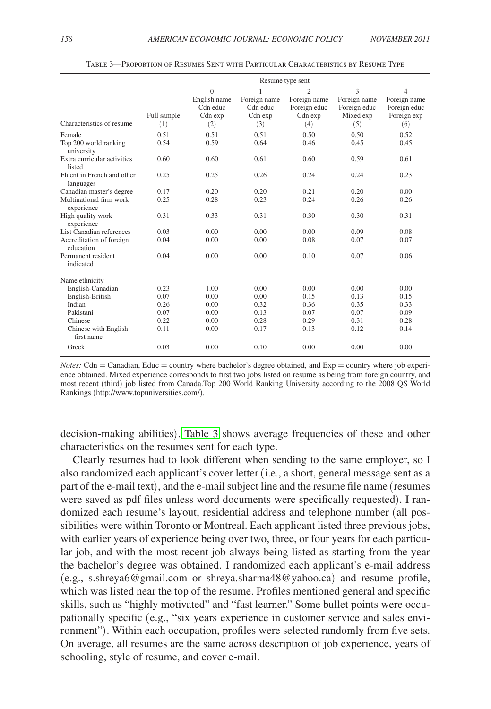|                                         | Resume type sent |              |              |                |              |                |
|-----------------------------------------|------------------|--------------|--------------|----------------|--------------|----------------|
|                                         |                  | $\theta$     | 1            | $\overline{c}$ | 3            | $\overline{4}$ |
|                                         |                  | English name | Foreign name | Foreign name   | Foreign name | Foreign name   |
|                                         |                  | Cdn educ     | Cdn educ     | Foreign educ   | Foreign educ | Foreign educ   |
|                                         | Full sample      | Cdn exp      | Cdn exp      | Cdn exp        | Mixed exp    | Foreign exp    |
| Characteristics of resume               | (1)              | (2)          | (3)          | (4)            | (5)          | (6)            |
| Female                                  | 0.51             | 0.51         | 0.51         | 0.50           | 0.50         | 0.52           |
| Top 200 world ranking<br>university     | 0.54             | 0.59         | 0.64         | 0.46           | 0.45         | 0.45           |
| Extra curricular activities<br>listed   | 0.60             | 0.60         | 0.61         | 0.60           | 0.59         | 0.61           |
| Fluent in French and other<br>languages | 0.25             | 0.25         | 0.26         | 0.24           | 0.24         | 0.23           |
| Canadian master's degree                | 0.17             | 0.20         | 0.20         | 0.21           | 0.20         | 0.00           |
| Multinational firm work<br>experience   | 0.25             | 0.28         | 0.23         | 0.24           | 0.26         | 0.26           |
| High quality work<br>experience         | 0.31             | 0.33         | 0.31         | 0.30           | 0.30         | 0.31           |
| List Canadian references                | 0.03             | 0.00         | 0.00         | 0.00           | 0.09         | 0.08           |
| Accreditation of foreign<br>education   | 0.04             | 0.00         | 0.00         | 0.08           | 0.07         | 0.07           |
| Permanent resident<br>indicated         | 0.04             | 0.00         | 0.00         | 0.10           | 0.07         | 0.06           |
| Name ethnicity                          |                  |              |              |                |              |                |
| English-Canadian                        | 0.23             | 1.00         | 0.00         | 0.00           | 0.00         | 0.00           |
| English-British                         | 0.07             | 0.00         | 0.00         | 0.15           | 0.13         | 0.15           |
| Indian                                  | 0.26             | 0.00         | 0.32         | 0.36           | 0.35         | 0.33           |
| Pakistani                               | 0.07             | 0.00         | 0.13         | 0.07           | 0.07         | 0.09           |
| Chinese                                 | 0.22             | 0.00         | 0.28         | 0.29           | 0.31         | 0.28           |
| Chinese with English<br>first name      | 0.11             | 0.00         | 0.17         | 0.13           | 0.12         | 0.14           |
| Greek                                   | 0.03             | 0.00         | 0.10         | 0.00           | 0.00         | 0.00           |

Table 3—Proportion of Resumes Sent with Particular Characteristics by Resume Type

*Notes:* Cdn = Canadian, Educ = country where bachelor's degree obtained, and Exp = country where job experience obtained. Mixed experience corresponds to first two jobs listed on resume as being from foreign country, and most recent (third) job listed from Canada.Top 200 World Ranking University according to the 2008 QS World Rankings (<http://www.topuniversities.com/>).

decision-making abilities). Table 3 shows average frequencies of these and other characteristics on the resumes sent for each type.

Clearly resumes had to look different when sending to the same employer, so I also randomized each applicant's cover letter (i.e., a short, general message sent as a part of the e-mail text), and the e-mail subject line and the resume file name (resumes were saved as pdf files unless word documents were specifically requested). I randomized each resume's layout, residential address and telephone number (all possibilities were within Toronto or Montreal. Each applicant listed three previous jobs, with earlier years of experience being over two, three, or four years for each particular job, and with the most recent job always being listed as starting from the year the bachelor's degree was obtained. I randomized each applicant's e-mail address (e.g., s.shreya6@gmail.com or shreya.sharma48@yahoo.ca) and resume profile, which was listed near the top of the resume. Profiles mentioned general and specific skills, such as "highly motivated" and "fast learner." Some bullet points were occupationally specific (e.g., "six years experience in customer service and sales environment"). Within each occupation, profiles were selected randomly from five sets. On average, all resumes are the same across description of job experience, years of schooling, style of resume, and cover e-mail.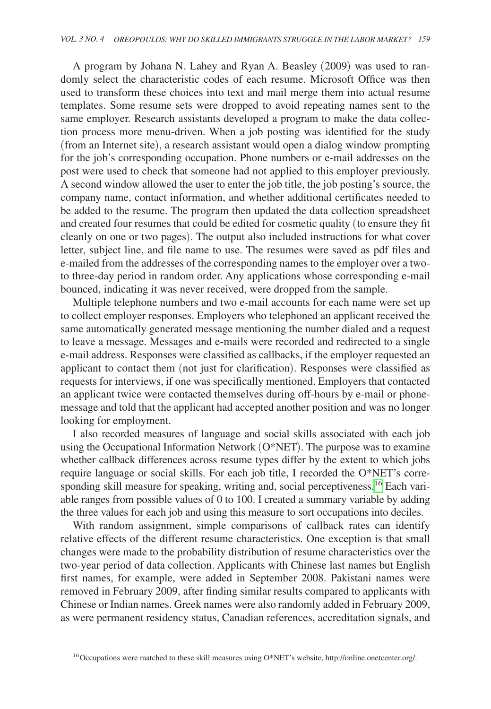A program by Johana N. Lahey and Ryan A. Beasley (2009) was used to randomly select the characteristic codes of each resume. Microsoft Office was then used to transform these choices into text and mail merge them into actual resume templates. Some resume sets were dropped to avoid repeating names sent to the same employer. Research assistants developed a program to make the data collection process more menu-driven. When a job posting was identified for the study (from an Internet site), a research assistant would open a dialog window prompting for the job's corresponding occupation. Phone numbers or e-mail addresses on the post were used to check that someone had not applied to this employer previously. A second window allowed the user to enter the job title, the job posting's source, the company name, contact information, and whether additional certificates needed to be added to the resume. The program then updated the data collection spreadsheet and created four resumes that could be edited for cosmetic quality (to ensure they fit cleanly on one or two pages). The output also included instructions for what cover letter, subject line, and file name to use. The resumes were saved as pdf files and e-mailed from the addresses of the corresponding names to the employer over a twoto three-day period in random order. Any applications whose corresponding e-mail bounced, indicating it was never received, were dropped from the sample.

Multiple telephone numbers and two e-mail accounts for each name were set up to collect employer responses. Employers who telephoned an applicant received the same automatically generated message mentioning the number dialed and a request to leave a message. Messages and e-mails were recorded and redirected to a single e-mail address. Responses were classified as callbacks, if the employer requested an applicant to contact them (not just for clarification). Responses were classified as requests for interviews, if one was specifically mentioned. Employers that contacted an applicant twice were contacted themselves during off-hours by e-mail or phonemessage and told that the applicant had accepted another position and was no longer looking for employment.

I also recorded measures of language and social skills associated with each job using the Occupational Information Network (O\*NET). The purpose was to examine whether callback differences across resume types differ by the extent to which jobs require language or social skills. For each job title, I recorded the O\*NET's corresponding skill measure for speaking, writing and, social perceptiveness.<sup>16</sup> Each variable ranges from possible values of 0 to 100. I created a summary variable by adding the three values for each job and using this measure to sort occupations into deciles.

With random assignment, simple comparisons of callback rates can identify relative effects of the different resume characteristics. One exception is that small changes were made to the probability distribution of resume characteristics over the two-year period of data collection. Applicants with Chinese last names but English first names, for example, were added in September 2008. Pakistani names were removed in February 2009, after finding similar results compared to applicants with Chinese or Indian names. Greek names were also randomly added in February 2009, as were permanent residency status, Canadian references, accreditation signals, and

<span id="page-11-0"></span><sup>&</sup>lt;sup>16</sup> Occupations were matched to these skill measures using O\*NET's website, http://online.onetcenter.org/.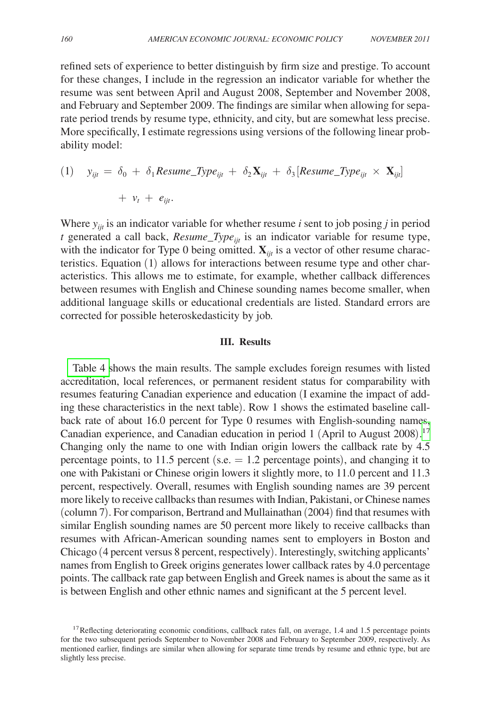<span id="page-12-0"></span>refined sets of experience to better distinguish by firm size and prestige. To account for these changes, I include in the regression an indicator variable for whether the resume was sent between April and August 2008, September and November 2008, and February and September 2009. The findings are similar when allowing for separate period trends by resume type, ethnicity, and city, but are somewhat less precise. More specifically, I estimate regressions using versions of the following linear probability model:

(1) 
$$
y_{ijt} = \delta_0 + \delta_1 Resume\_Type_{ijt} + \delta_2 \mathbf{X}_{ijt} + \delta_3 [Resume\_Type_{ijt} \times \mathbf{X}_{ijt}] + v_t + e_{ijt}.
$$

Where  $y_{ij}$  is an indicator variable for whether resume *i* sent to job posing *j* in period  $t$  generated a call back,  $Resume\_Type_{ijt}$  is an indicator variable for resume type, with the indicator for Type 0 being omitted.  $\mathbf{X}_{ijt}$  is a vector of other resume characteristics. Equation (1) allows for interactions between resume type and other characteristics. This allows me to estimate, for example, whether callback differences between resumes with English and Chinese sounding names become smaller, when additional language skills or educational credentials are listed. Standard errors are corrected for possible heteroskedasticity by job.

### **III. Results**

[Table 4 s](#page-13-0)hows the main results. The sample excludes foreign resumes with listed accreditation, local references, or permanent resident status for comparability with resumes featuring Canadian experience and education (I examine the impact of adding these characteristics in the next table). Row 1 shows the estimated baseline callback rate of about 16.0 percent for Type 0 resumes with English-sounding names, Canadian experience, and Canadian education in period 1 (April to August 2008). [17](#page-12-1) Changing only the name to one with Indian origin lowers the callback rate by 4.5 percentage points, to 11.5 percent (s.e.  $= 1.2$  percentage points), and changing it to one with Pakistani or Chinese origin lowers it slightly more, to 11.0 percent and 11.3 percent, respectively. Overall, resumes with English sounding names are 39 percent more likely to receive callbacks than resumes with Indian, Pakistani, or Chinese names (column 7). For comparison, Bertrand and Mullainathan (2004) find that resumes with similar English sounding names are 50 percent more likely to receive callbacks than resumes with African-American sounding names sent to employers in Boston and Chicago (4 percent versus 8 percent, respectively). Interestingly, switching applicants' names from English to Greek origins generates lower callback rates by 4.0 percentage points. The callback rate gap between English and Greek names is about the same as it is between English and other ethnic names and significant at the 5 percent level.

<span id="page-12-1"></span><sup>&</sup>lt;sup>17</sup>Reflecting deteriorating economic conditions, callback rates fall, on average, 1.4 and 1.5 percentage points for the two subsequent periods September to November 2008 and February to September 2009, respectively. As mentioned earlier, findings are similar when allowing for separate time trends by resume and ethnic type, but are slightly less precise.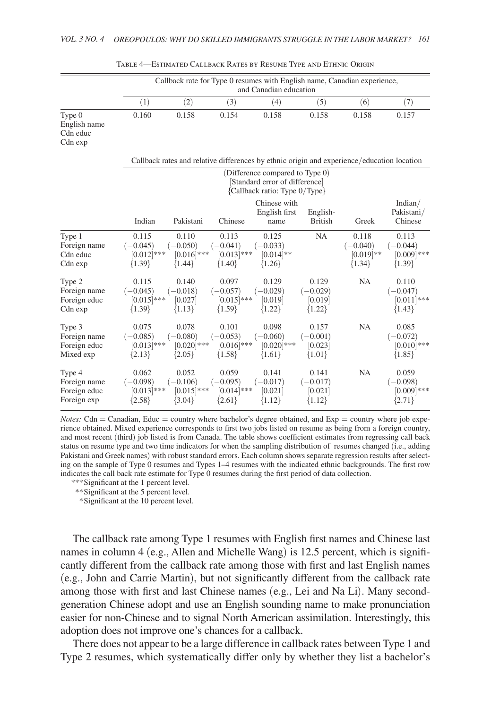<span id="page-13-0"></span>

|                                                       |                                                  | Callback rate for Type 0 resumes with English name, Canadian experience,<br>and Canadian education |                                                 |                                                                                                    |                                            |                                                |                                                  |  |
|-------------------------------------------------------|--------------------------------------------------|----------------------------------------------------------------------------------------------------|-------------------------------------------------|----------------------------------------------------------------------------------------------------|--------------------------------------------|------------------------------------------------|--------------------------------------------------|--|
|                                                       | (1)                                              | (2)                                                                                                | (3)                                             | (4)                                                                                                | (5)                                        | (6)                                            | (7)                                              |  |
| Type 0<br>English name<br>Cdn educ<br>Cdn exp         | 0.160                                            | 0.158                                                                                              | 0.154                                           | 0.158                                                                                              | 0.158                                      | 0.158                                          | 0.157                                            |  |
|                                                       |                                                  |                                                                                                    |                                                 | Callback rates and relative differences by ethnic origin and experience/education location         |                                            |                                                |                                                  |  |
|                                                       |                                                  |                                                                                                    |                                                 | (Difference compared to Type 0)<br>[Standard error of difference]<br>{Callback ratio: Type 0/Type} |                                            |                                                |                                                  |  |
|                                                       | Indian                                           | Pakistani                                                                                          | Chinese                                         | Chinese with<br>English first<br>name                                                              | English-<br><b>British</b>                 | Greek                                          | Indian $/$<br>Pakistani/<br>Chinese              |  |
| Type 1<br>Foreign name<br>Cdn educ<br>Cdn exp         | 0.115<br>$(-0.045)$<br>$[0.012]$ ***<br>${1.39}$ | 0.110<br>$(-0.050)$<br>$[0.016]$ ***<br>${1.44}$                                                   | 0.113<br>$(-0.041)$<br>$[0.013]***$<br>${1.40}$ | 0.125<br>$(-0.033)$<br>$ 0.014 ^{**}$<br>${1.26}$                                                  | <b>NA</b>                                  | 0.118<br>$(-0.040)$<br>$[0.019]**$<br>${1.34}$ | 0.113<br>$(-0.044)$<br>$ 0.009 ***$<br>${1.39}$  |  |
| Type 2<br>Foreign name<br>Foreign educ<br>Cdn exp     | 0.115<br>$(-0.045)$<br>$[0.015]***$<br>${1.39}$  | 0.140<br>$(-0.018)$<br> 0.027 <br>${1.13}$                                                         | 0.097<br>$(-0.057)$<br>$[0.015]***$<br>${1.59}$ | 0.129<br>$(-0.029)$<br> 0.019 <br>${1.22}$                                                         | 0.129<br>$(-0.029)$<br> 0.019 <br>${1.22}$ | <b>NA</b>                                      | 0.110<br>$(-0.047)$<br>$[0.011]$ ***<br>${1.43}$ |  |
| Type 3<br>Foreign name<br>Foreign educ<br>Mixed exp   | 0.075<br>$(-0.085)$<br>$[0.013]***$<br>${2.13}$  | 0.078<br>$(-0.080)$<br>$ 0.020 ***$<br>${2.05}$                                                    | 0.101<br>$(-0.053)$<br>$ 0.016 ***$<br>${1.58}$ | 0.098<br>$(-0.060)$<br>$[0.020]$ ***<br>${1.61}$                                                   | 0.157<br>$(-0.001)$<br>[0.023]<br>${1.01}$ | <b>NA</b>                                      | 0.085<br>$(-0.072)$<br>$[0.010]$ ***<br>${1.85}$ |  |
| Type 4<br>Foreign name<br>Foreign educ<br>Foreign exp | 0.062<br>$(-0.098)$<br>$[0.013]***$<br>${2.58}$  | 0.052<br>$(-0.106)$<br>$ 0.015 ***$<br>${3.04}$                                                    | 0.059<br>$(-0.095)$<br>$ 0.014 ***$<br>${2.61}$ | 0.141<br>$(-0.017)$<br>[0.021]<br>${1.12}$                                                         | 0.141<br>$(-0.017)$<br>[0.021]<br>${1.12}$ | <b>NA</b>                                      | 0.059<br>$(-0.098)$<br>$[0.009]***$<br>${2.71}$  |  |

| Table 4—Estimated Callback Rates by Resume Type and Ethnic Origin |  |
|-------------------------------------------------------------------|--|
|-------------------------------------------------------------------|--|

*Notes:* Cdn = Canadian, Educ = country where bachelor's degree obtained, and Exp = country where job experience obtained. Mixed experience corresponds to first two jobs listed on resume as being from a foreign country, and most recent (third) job listed is from Canada. The table shows coefficient estimates from regressing call back status on resume type and two time indicators for when the sampling distribution of resumes changed (i.e., adding Pakistani and Greek names) with robust standard errors. Each column shows separate regression results after selecting on the sample of Type 0 resumes and Types 1–4 resumes with the indicated ethnic backgrounds. The first row indicates the call back rate estimate for Type 0 resumes during the first period of data collection.

*\*\*\**Significant at the 1 percent level.

*\*\**Significant at the 5 percent level.

 *\**Significant at the 10 percent level.

The callback rate among Type 1 resumes with English first names and Chinese last names in column 4 (e.g., Allen and Michelle Wang) is 12.5 percent, which is significantly different from the callback rate among those with first and last English names (e.g., John and Carrie Martin), but not significantly different from the callback rate among those with first and last Chinese names (e.g., Lei and Na Li). Many secondgeneration Chinese adopt and use an English sounding name to make pronunciation easier for non-Chinese and to signal North American assimilation. Interestingly, this adoption does not improve one's chances for a callback.

There does not appear to be a large difference in callback rates between Type 1 and Type 2 resumes, which systematically differ only by whether they list a bachelor's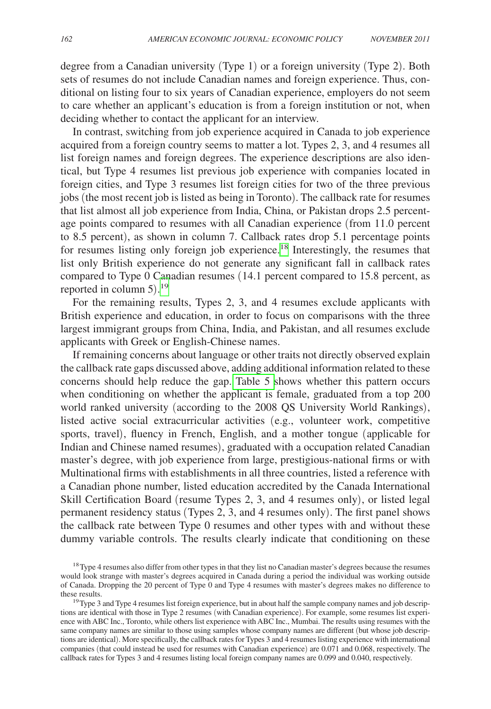degree from a Canadian university (Type 1) or a foreign university (Type 2). Both sets of resumes do not include Canadian names and foreign experience. Thus, conditional on listing four to six years of Canadian experience, employers do not seem to care whether an applicant's education is from a foreign institution or not, when deciding whether to contact the applicant for an interview.

In contrast, switching from job experience acquired in Canada to job experience acquired from a foreign country seems to matter a lot. Types 2, 3, and 4 resumes all list foreign names and foreign degrees. The experience descriptions are also identical, but Type 4 resumes list previous job experience with companies located in foreign cities, and Type 3 resumes list foreign cities for two of the three previous jobs (the most recent job is listed as being in Toronto). The callback rate for resumes that list almost all job experience from India, China, or Pakistan drops 2.5 percentage points compared to resumes with all Canadian experience (from 11.0 percent to 8.5 percent), as shown in column 7. Callback rates drop 5.1 percentage points for resumes listing only foreign job experience.[18](#page-14-0) Interestingly, the resumes that list only British experience do not generate any significant fall in callback rates compared to Type 0 Canadian resumes (14.1 percent compared to 15.8 percent, as reported in column 5). [19](#page-14-1)

For the remaining results, Types 2, 3, and 4 resumes exclude applicants with British experience and education, in order to focus on comparisons with the three largest immigrant groups from China, India, and Pakistan, and all resumes exclude applicants with Greek or English-Chinese names.

If remaining concerns about language or other traits not directly observed explain the callback rate gaps discussed above, adding additional information related to these concerns should help reduce the gap. [Table 5](#page-15-0) shows whether this pattern occurs when conditioning on whether the applicant is female, graduated from a top 200 world ranked university (according to the 2008 QS University World Rankings), listed active social extracurricular activities (e.g., volunteer work, competitive sports, travel), fluency in French, English, and a mother tongue (applicable for Indian and Chinese named resumes), graduated with a occupation related Canadian master's degree, with job experience from large, prestigious-national firms or with Multinational firms with establishments in all three countries, listed a reference with a Canadian phone number, listed education accredited by the Canada International Skill Certification Board (resume Types 2, 3, and 4 resumes only), or listed legal permanent residency status (Types 2, 3, and 4 resumes only). The first panel shows the callback rate between Type 0 resumes and other types with and without these dummy variable controls. The results clearly indicate that conditioning on these

<span id="page-14-0"></span><sup>&</sup>lt;sup>18</sup>Type 4 resumes also differ from other types in that they list no Canadian master's degrees because the resumes would look strange with master's degrees acquired in Canada during a period the individual was working outside of Canada. Dropping the 20 percent of Type 0 and Type 4 resumes with master's degrees makes no difference to these results.<br><sup>19</sup>Type 3 and Type 4 resumes list foreign experience, but in about half the sample company names and job descrip-

<span id="page-14-1"></span>tions are identical with those in Type 2 resumes (with Canadian experience). For example, some resumes list experience with ABC Inc., Toronto, while others list experience with ABC Inc., Mumbai. The results using resumes with the same company names are similar to those using samples whose company names are different (but whose job descriptions are identical). More specifically, the callback rates for Types 3 and 4 resumes listing experience with international companies (that could instead be used for resumes with Canadian experience) are 0.071 and 0.068, respectively. The callback rates for Types 3 and 4 resumes listing local foreign company names are 0.099 and 0.040, respectively.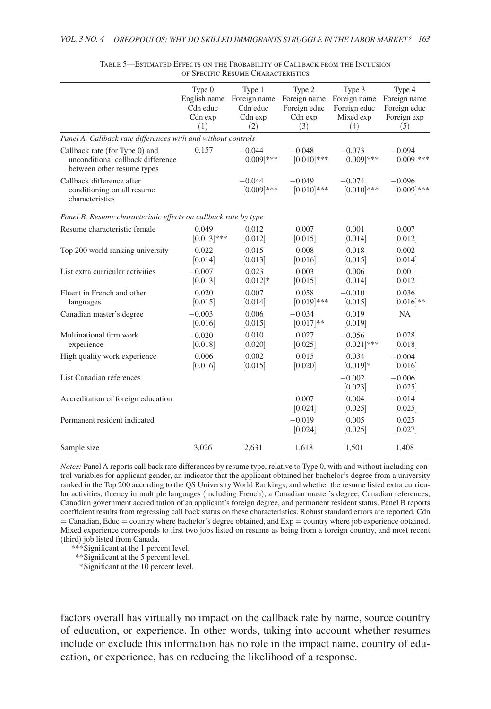<span id="page-15-0"></span>

|                                                                                                   | Type 0<br>English name<br>Cdn educ<br>Cdn exp<br>(1) | Type 1<br>Foreign name<br>Cdn educ<br>$Cdn$ exp<br>(2) | Type 2<br>Foreign name<br>Foreign educ<br>Cdn exp<br>(3) | Type 3<br>Foreign name<br>Foreign educ<br>Mixed exp<br>(4) | Type 4<br>Foreign name<br>Foreign educ<br>Foreign exp<br>(5) |
|---------------------------------------------------------------------------------------------------|------------------------------------------------------|--------------------------------------------------------|----------------------------------------------------------|------------------------------------------------------------|--------------------------------------------------------------|
| Panel A. Callback rate differences with and without controls                                      |                                                      |                                                        |                                                          |                                                            |                                                              |
| Callback rate (for Type 0) and<br>unconditional callback difference<br>between other resume types | 0.157                                                | $-0.044$<br>$[0.009]$ ***                              | $-0.048$<br>$[0.010]$ ***                                | $-0.073$<br>$[0.009]$ ***                                  | $-0.094$<br>$[0.009]***$                                     |
| Callback difference after<br>conditioning on all resume<br>characteristics                        |                                                      | $-0.044$<br>$[0.009]$ ***                              | $-0.049$<br>$[0.010]$ ***                                | $-0.074$<br>$[0.010]$ ***                                  | $-0.096$<br>$[0.009]$ ***                                    |
| Panel B. Resume characteristic effects on callback rate by type                                   |                                                      |                                                        |                                                          |                                                            |                                                              |
| Resume characteristic female                                                                      | 0.049<br>$[0.013]***$                                | 0.012<br>[0.012]                                       | 0.007<br>[0.015]                                         | 0.001<br>[0.014]                                           | 0.007<br>[0.012]                                             |
| Top 200 world ranking university                                                                  | $-0.022$<br>[0.014]                                  | 0.015<br>[0.013]                                       | 0.008<br>[0.016]                                         | $-0.018$<br>[0.015]                                        | $-0.002$<br>[0.014]                                          |
| List extra curricular activities                                                                  | $-0.007$<br>[0.013]                                  | 0.023<br>$[0.012]*$                                    | 0.003<br>[0.015]                                         | 0.006<br>[0.014]                                           | 0.001<br>[0.012]                                             |
| Fluent in French and other<br>languages                                                           | 0.020<br>[0.015]                                     | 0.007<br>[0.014]                                       | 0.058<br>$[0.019]***$                                    | $-0.010$<br>[0.015]                                        | 0.036<br>$[0.016]$ **                                        |
| Canadian master's degree                                                                          | $-0.003$<br>[0.016]                                  | 0.006<br>[0.015]                                       | $-0.034$<br>$[0.017]**$                                  | 0.019<br>[0.019]                                           | <b>NA</b>                                                    |
| Multinational firm work<br>experience                                                             | $-0.020$<br>[0.018]                                  | 0.010<br>[0.020]                                       | 0.027<br>[0.025]                                         | $-0.056$<br>$[0.021]$ ***                                  | 0.028<br>[0.018]                                             |
| High quality work experience                                                                      | 0.006<br>[0.016]                                     | 0.002<br>[0.015]                                       | 0.015<br>[0.020]                                         | 0.034<br>$[0.019]*$                                        | $-0.004$<br>[0.016]                                          |
| List Canadian references                                                                          |                                                      |                                                        |                                                          | $-0.002$<br>[0.023]                                        | $-0.006$<br>[0.025]                                          |
| Accreditation of foreign education                                                                |                                                      |                                                        | 0.007<br>[0.024]                                         | 0.004<br>[0.025]                                           | $-0.014$<br>[0.025]                                          |
| Permanent resident indicated                                                                      |                                                      |                                                        | $-0.019$<br>[0.024]                                      | 0.005<br>[0.025]                                           | 0.025<br>[0.027]                                             |
| Sample size                                                                                       | 3,026                                                | 2.631                                                  | 1,618                                                    | 1,501                                                      | 1,408                                                        |

Table 5—Estimated Effects on the Probability of Callback from the Inclusion of Specific Resume Characteristics

*Notes:* Panel A reports call back rate differences by resume type, relative to Type 0, with and without including control variables for applicant gender, an indicator that the applicant obtained her bachelor's degree from a university ranked in the Top 200 according to the QS University World Rankings, and whether the resume listed extra curricular activities, fluency in multiple languages (including French), a Canadian master's degree, Canadian references, Canadian government accreditation of an applicant's foreign degree, and permanent resident status. Panel B reports coefficient results from regressing call back status on these characteristics. Robust standard errors are reported. Cdn  $=$  Canadian, Educ  $=$  country where bachelor's degree obtained, and  $Exp =$  country where job experience obtained. Mixed experience corresponds to first two jobs listed on resume as being from a foreign country, and most recent (third) job listed from Canada.

*\*\*\**Significant at the 1 percent level.

*\*\**Significant at the 5 percent level.

 *\**Significant at the 10 percent level.

factors overall has virtually no impact on the callback rate by name, source country of education, or experience. In other words, taking into account whether resumes include or exclude this information has no role in the impact name, country of education, or experience, has on reducing the likelihood of a response.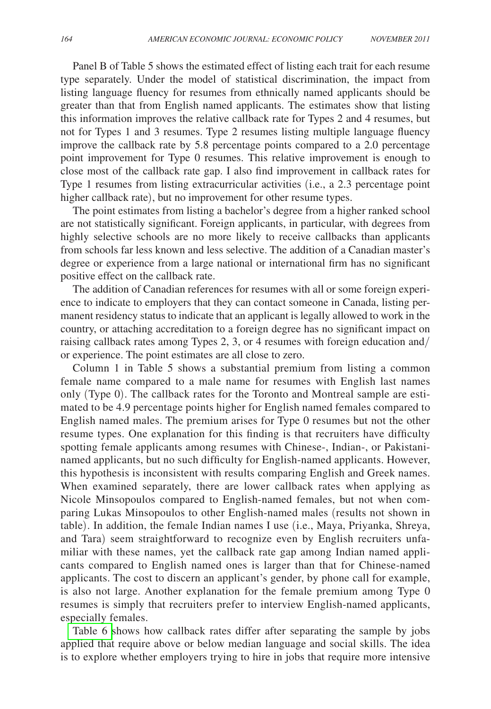Panel B of Table 5 shows the estimated effect of listing each trait for each resume type separately. Under the model of statistical discrimination, the impact from listing language fluency for resumes from ethnically named applicants should be greater than that from English named applicants. The estimates show that listing this information improves the relative callback rate for Types 2 and 4 resumes, but not for Types 1 and 3 resumes. Type 2 resumes listing multiple language fluency improve the callback rate by 5.8 percentage points compared to a 2.0 percentage point improvement for Type 0 resumes. This relative improvement is enough to close most of the callback rate gap. I also find improvement in callback rates for Type 1 resumes from listing extracurricular activities (i.e., a 2.3 percentage point higher callback rate), but no improvement for other resume types.

The point estimates from listing a bachelor's degree from a higher ranked school are not statistically significant. Foreign applicants, in particular, with degrees from highly selective schools are no more likely to receive callbacks than applicants from schools far less known and less selective. The addition of a Canadian master's degree or experience from a large national or international firm has no significant positive effect on the callback rate.

The addition of Canadian references for resumes with all or some foreign experience to indicate to employers that they can contact someone in Canada, listing permanent residency status to indicate that an applicant is legally allowed to work in the country, or attaching accreditation to a foreign degree has no significant impact on raising callback rates among Types 2, 3, or 4 resumes with foreign education and/ or experience. The point estimates are all close to zero.

Column 1 in Table 5 shows a substantial premium from listing a common female name compared to a male name for resumes with English last names only (Type 0). The callback rates for the Toronto and Montreal sample are estimated to be 4.9 percentage points higher for English named females compared to English named males. The premium arises for Type 0 resumes but not the other resume types. One explanation for this finding is that recruiters have difficulty spotting female applicants among resumes with Chinese-, Indian-, or Pakistaninamed applicants, but no such difficulty for English-named applicants. However, this hypothesis is inconsistent with results comparing English and Greek names. When examined separately, there are lower callback rates when applying as Nicole Minsopoulos compared to English-named females, but not when comparing Lukas Minsopoulos to other English-named males (results not shown in table). In addition, the female Indian names I use (i.e., Maya, Priyanka, Shreya, and Tara) seem straightforward to recognize even by English recruiters unfamiliar with these names, yet the callback rate gap among Indian named applicants compared to English named ones is larger than that for Chinese-named applicants. The cost to discern an applicant's gender, by phone call for example, is also not large. Another explanation for the female premium among Type 0 resumes is simply that recruiters prefer to interview English-named applicants, especially females.

[Table 6 s](#page-17-0)hows how callback rates differ after separating the sample by jobs applied that require above or below median language and social skills. The idea is to explore whether employers trying to hire in jobs that require more intensive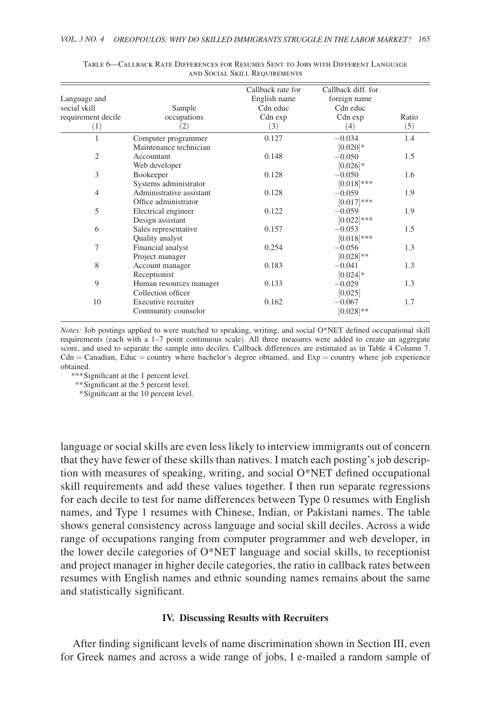<span id="page-17-0"></span>

|                    |                          | Callback rate for | Callback diff. for |       |
|--------------------|--------------------------|-------------------|--------------------|-------|
| Language and       |                          | English name      | foreign name       |       |
| social skill       | Sample                   | Cdn educ          | Cdn educ           |       |
| requirement decile | occupations              | $Cdn$ exp         | Cdn exp            | Ratio |
| (1)                | (2)                      | (3)               | (4)                | (5)   |
| 1                  | Computer programmer      | 0.127             | $-0.034$           | 1.4   |
|                    | Maintenance technician   |                   | $[0.020]*$         |       |
| $\overline{2}$     | Accountant               | 0.148             | $-0.050$           | 1.5   |
|                    | Web developer            |                   | $[0.026]*$         |       |
| 3                  | Bookeeper                | 0.128             | $-0.050$           | 1.6   |
|                    | Systems administrator    |                   | $[0.018]***$       |       |
| $\overline{4}$     | Administrative assistant | 0.128             | $-0.059$           | 1.9   |
|                    | Office administrator     |                   | $[0.017]***$       |       |
| 5                  | Electrical engineer      | 0.122             | $-0.059$           | 1.9   |
|                    | Design assistant         |                   | $[0.022]***$       |       |
| 6                  | Sales representative     | 0.157             | $-0.053$           | 1.5   |
|                    | Quality analyst          |                   | $[0.018]$ ***      |       |
| 7                  | Financial analyst        | 0.254             | $-0.056$           | 1.3   |
|                    | Project manager          |                   | $[0.028]**$        |       |
| 8                  | Account manager          | 0.183             | $-0.041$           | 1.3   |
|                    | Receptionist             |                   | $[0.024]*$         |       |
| 9                  | Human resources manager  | 0.133             | $-0.029$           | 1.3   |
|                    | Collection officer       |                   | [0.025]            |       |
| 10                 | Executive recruiter      | 0.162             | $-0.067$           | 1.7   |
|                    | Community counselor      |                   | $ 0.028 ^{**}$     |       |

Table 6—Callback Rate Differences for Resumes Sent to Jobs with Different Language and Social Skill Requirements

*Notes:* Job postings applied to were matched to speaking, writing, and social O\*NET defined occupational skill requirements (each with a 1–7 point continuous scale). All three measures were added to create an aggregate score, and used to separate the sample into deciles. Callback differences are estimated as in Table 4 Column 7.  $Cdn =$ Canadian, Educ = country where bachelor's degree obtained, and  $Exp =$  country where job experience obtained.

*\*\*\**Significant at the 1 percent level.

*\*\**Significant at the 5 percent level.

 *\**Significant at the 10 percent level.

language or social skills are even less likely to interview immigrants out of concern that they have fewer of these skills than natives. I match each posting's job description with measures of speaking, writing, and social O\*NET defined occupational skill requirements and add these values together. I then run separate regressions for each decile to test for name differences between Type 0 resumes with English names, and Type 1 resumes with Chinese, Indian, or Pakistani names. The table shows general consistency across language and social skill deciles. Across a wide range of occupations ranging from computer programmer and web developer, in the lower decile categories of O\*NET language and social skills, to receptionist and project manager in higher decile categories, the ratio in callback rates between resumes with English names and ethnic sounding names remains about the same and statistically significant.

#### **IV. Discussing Results with Recruiters**

After finding significant levels of name discrimination shown in Section III, even for Greek names and across a wide range of jobs, I e-mailed a random sample of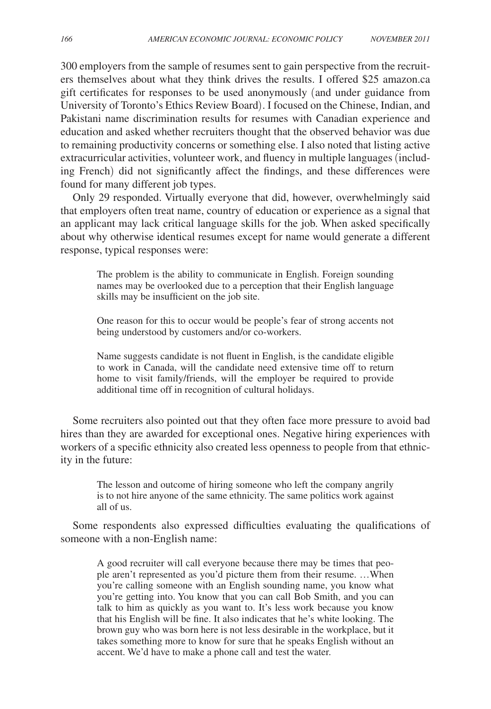300 employers from the sample of resumes sent to gain perspective from the recruiters themselves about what they think drives the results. I offered \$25 amazon.ca gift certificates for responses to be used anonymously (and under guidance from University of Toronto's Ethics Review Board). I focused on the Chinese, Indian, and Pakistani name discrimination results for resumes with Canadian experience and education and asked whether recruiters thought that the observed behavior was due to remaining productivity concerns or something else. I also noted that listing active extracurricular activities, volunteer work, and fluency in multiple languages (including French) did not significantly affect the findings, and these differences were found for many different job types.

Only 29 responded. Virtually everyone that did, however, overwhelmingly said that employers often treat name, country of education or experience as a signal that an applicant may lack critical language skills for the job. When asked specifically about why otherwise identical resumes except for name would generate a different response, typical responses were:

The problem is the ability to communicate in English. Foreign sounding names may be overlooked due to a perception that their English language skills may be insufficient on the job site.

One reason for this to occur would be people's fear of strong accents not being understood by customers and/or co-workers.

Name suggests candidate is not fluent in English, is the candidate eligible to work in Canada, will the candidate need extensive time off to return home to visit family/friends, will the employer be required to provide additional time off in recognition of cultural holidays.

Some recruiters also pointed out that they often face more pressure to avoid bad hires than they are awarded for exceptional ones. Negative hiring experiences with workers of a specific ethnicity also created less openness to people from that ethnicity in the future:

The lesson and outcome of hiring someone who left the company angrily is to not hire anyone of the same ethnicity. The same politics work against all of us.

Some respondents also expressed difficulties evaluating the qualifications of someone with a non-English name:

A good recruiter will call everyone because there may be times that people aren't represented as you'd picture them from their resume. …When you're calling someone with an English sounding name, you know what you're getting into. You know that you can call Bob Smith, and you can talk to him as quickly as you want to. It's less work because you know that his English will be fine. It also indicates that he's white looking. The brown guy who was born here is not less desirable in the workplace, but it takes something more to know for sure that he speaks English without an accent. We'd have to make a phone call and test the water.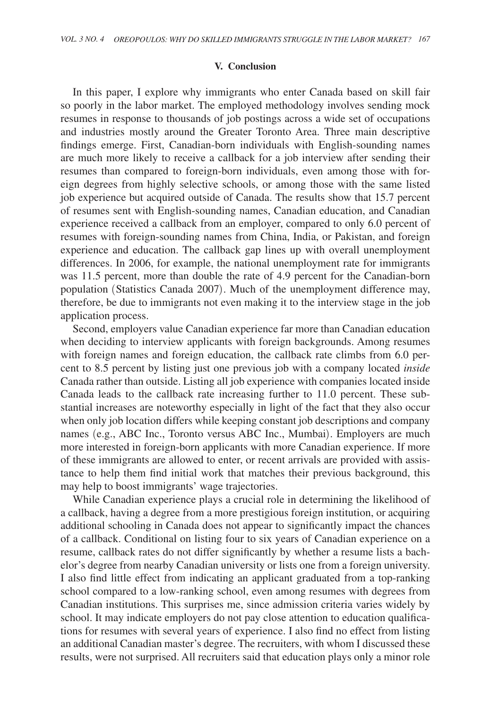## **V. Conclusion**

<span id="page-19-0"></span>In this paper, I explore why immigrants who enter Canada based on skill fair so poorly in the labor market. The employed methodology involves sending mock resumes in response to thousands of job postings across a wide set of occupations and industries mostly around the Greater Toronto Area. Three main descriptive findings emerge. First, Canadian-born individuals with English-sounding names are much more likely to receive a callback for a job interview after sending their resumes than compared to foreign-born individuals, even among those with foreign degrees from highly selective schools, or among those with the same listed job experience but acquired outside of Canada. The results show that 15.7 percent of resumes sent with English-sounding names, Canadian education, and Canadian experience received a callback from an employer, compared to only 6.0 percent of resumes with foreign-sounding names from China, India, or Pakistan, and foreign experience and education. The callback gap lines up with overall unemployment differences. In 2006, for example, the national unemployment rate for immigrants was 11.5 percent, more than double the rate of 4.9 percent for the Canadian-born population (Statistics Canada 2007). Much of the unemployment difference may, therefore, be due to immigrants not even making it to the interview stage in the job application process.

Second, employers value Canadian experience far more than Canadian education when deciding to interview applicants with foreign backgrounds. Among resumes with foreign names and foreign education, the callback rate climbs from 6.0 percent to 8.5 percent by listing just one previous job with a company located *inside* Canada rather than outside. Listing all job experience with companies located inside Canada leads to the callback rate increasing further to 11.0 percent. These substantial increases are noteworthy especially in light of the fact that they also occur when only job location differs while keeping constant job descriptions and company names (e.g., ABC Inc., Toronto versus ABC Inc., Mumbai). Employers are much more interested in foreign-born applicants with more Canadian experience. If more of these immigrants are allowed to enter, or recent arrivals are provided with assistance to help them find initial work that matches their previous background, this may help to boost immigrants' wage trajectories.

While Canadian experience plays a crucial role in determining the likelihood of a callback, having a degree from a more prestigious foreign institution, or acquiring additional schooling in Canada does not appear to significantly impact the chances of a callback. Conditional on listing four to six years of Canadian experience on a resume, callback rates do not differ significantly by whether a resume lists a bachelor's degree from nearby Canadian university or lists one from a foreign university. I also find little effect from indicating an applicant graduated from a top-ranking school compared to a low-ranking school, even among resumes with degrees from Canadian institutions. This surprises me, since admission criteria varies widely by school. It may indicate employers do not pay close attention to education qualifications for resumes with several years of experience. I also find no effect from listing an additional Canadian master's degree. The recruiters, with whom I discussed these results, were not surprised. All recruiters said that education plays only a minor role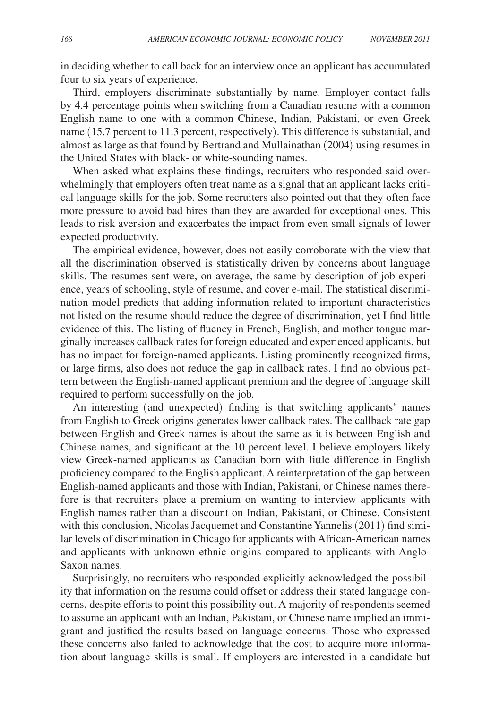in deciding whether to call back for an interview once an applicant has accumulated four to six years of experience.

Third, employers discriminate substantially by name. Employer contact falls by 4.4 percentage points when switching from a Canadian resume with a common English name to one with a common Chinese, Indian, Pakistani, or even Greek name (15.7 percent to 11.3 percent, respectively). This difference is substantial, and almost as large as that found by Bertrand and Mullainathan (2004) using resumes in the United States with black- or white-sounding names.

When asked what explains these findings, recruiters who responded said overwhelmingly that employers often treat name as a signal that an applicant lacks critical language skills for the job. Some recruiters also pointed out that they often face more pressure to avoid bad hires than they are awarded for exceptional ones. This leads to risk aversion and exacerbates the impact from even small signals of lower expected productivity.

The empirical evidence, however, does not easily corroborate with the view that all the discrimination observed is statistically driven by concerns about language skills. The resumes sent were, on average, the same by description of job experience, years of schooling, style of resume, and cover e-mail. The statistical discrimination model predicts that adding information related to important characteristics not listed on the resume should reduce the degree of discrimination, yet I find little evidence of this. The listing of fluency in French, English, and mother tongue marginally increases callback rates for foreign educated and experienced applicants, but has no impact for foreign-named applicants. Listing prominently recognized firms, or large firms, also does not reduce the gap in callback rates. I find no obvious pattern between the English-named applicant premium and the degree of language skill required to perform successfully on the job.

An interesting (and unexpected) finding is that switching applicants' names from English to Greek origins generates lower callback rates. The callback rate gap between English and Greek names is about the same as it is between English and Chinese names, and significant at the 10 percent level. I believe employers likely view Greek-named applicants as Canadian born with little difference in English proficiency compared to the English applicant. A reinterpretation of the gap between English-named applicants and those with Indian, Pakistani, or Chinese names therefore is that recruiters place a premium on wanting to interview applicants with English names rather than a discount on Indian, Pakistani, or Chinese. Consistent with this conclusion, Nicolas Jacquemet and Constantine Yannelis (2011) find similar levels of discrimination in Chicago for applicants with African-American names and applicants with unknown ethnic origins compared to applicants with Anglo-Saxon names.

Surprisingly, no recruiters who responded explicitly acknowledged the possibility that information on the resume could offset or address their stated language concerns, despite efforts to point this possibility out. A majority of respondents seemed to assume an applicant with an Indian, Pakistani, or Chinese name implied an immigrant and justified the results based on language concerns. Those who expressed these concerns also failed to acknowledge that the cost to acquire more information about language skills is small. If employers are interested in a candidate but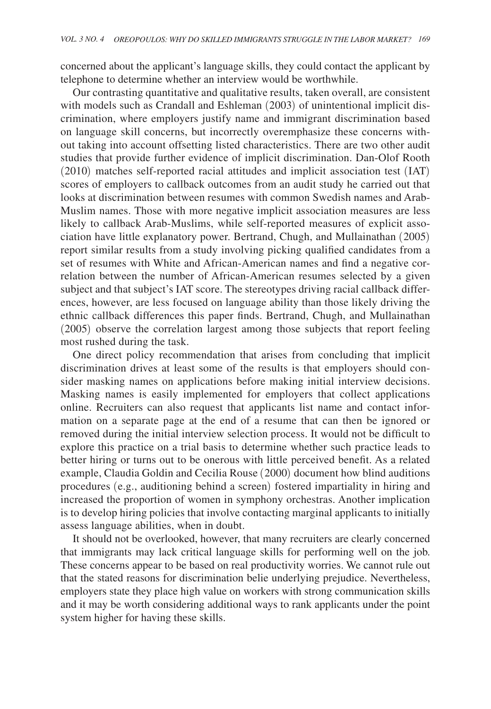concerned about the applicant's language skills, they could contact the applicant by telephone to determine whether an interview would be worthwhile.

Our contrasting quantitative and qualitative results, taken overall, are consistent with models such as Crandall and Eshleman (2003) of unintentional implicit discrimination, where employers justify name and immigrant discrimination based on language skill concerns, but incorrectly overemphasize these concerns without taking into account offsetting listed characteristics. There are two other audit studies that provide further evidence of implicit discrimination. Dan-Olof Rooth (2010) matches self-reported racial attitudes and implicit association test (IAT) scores of employers to callback outcomes from an audit study he carried out that looks at discrimination between resumes with common Swedish names and Arab-Muslim names. Those with more negative implicit association measures are less likely to callback Arab-Muslims, while self-reported measures of explicit association have little explanatory power. Bertrand, Chugh, and Mullainathan (2005) report similar results from a study involving picking qualified candidates from a set of resumes with White and African-American names and find a negative correlation between the number of African-American resumes selected by a given subject and that subject's IAT score. The stereotypes driving racial callback differences, however, are less focused on language ability than those likely driving the ethnic callback differences this paper finds. Bertrand, Chugh, and Mullainathan (2005) observe the correlation largest among those subjects that report feeling most rushed during the task.

One direct policy recommendation that arises from concluding that implicit discrimination drives at least some of the results is that employers should consider masking names on applications before making initial interview decisions. Masking names is easily implemented for employers that collect applications online. Recruiters can also request that applicants list name and contact information on a separate page at the end of a resume that can then be ignored or removed during the initial interview selection process. It would not be difficult to explore this practice on a trial basis to determine whether such practice leads to better hiring or turns out to be onerous with little perceived benefit. As a related example, Claudia Goldin and Cecilia Rouse (2000) document how blind auditions procedures (e.g., auditioning behind a screen) fostered impartiality in hiring and increased the proportion of women in symphony orchestras. Another implication is to develop hiring policies that involve contacting marginal applicants to initially assess language abilities, when in doubt.

It should not be overlooked, however, that many recruiters are clearly concerned that immigrants may lack critical language skills for performing well on the job. These concerns appear to be based on real productivity worries. We cannot rule out that the stated reasons for discrimination belie underlying prejudice. Nevertheless, employers state they place high value on workers with strong communication skills and it may be worth considering additional ways to rank applicants under the point system higher for having these skills.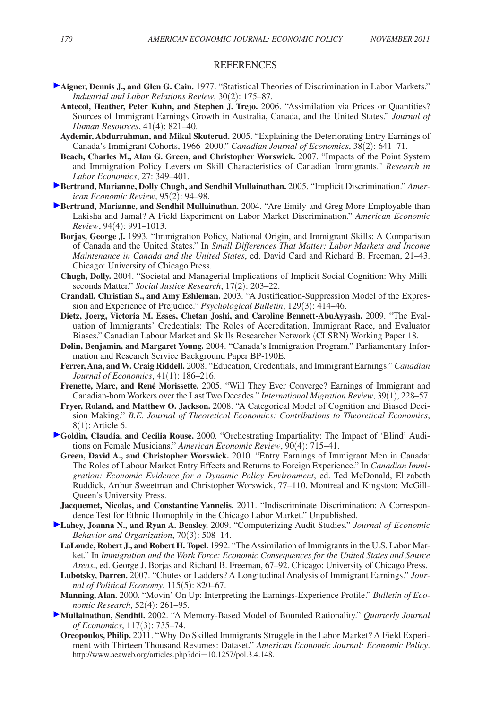#### **REFERENCES**

- <span id="page-22-0"></span>**Aigner, Dennis J., and Glen G. Cain.** 1977. "Statistical Theories of Discrimination in Labor Markets." *Industrial and Labor Relations Review*, 30(2): 175–87.
	- **Antecol, Heather, Peter Kuhn, and Stephen J. Trejo.** 2006. "Assimilation via Prices or Quantities? Sources of Immigrant Earnings Growth in Australia, Canada, and the United States." *Journal of Human Resources*, 41(4): 821–40.
	- **Aydemir, Abdurrahman, and Mikal Skuterud.** 2005. "Explaining the Deteriorating Entry Earnings of Canada's Immigrant Cohorts, 1966–2000." *Canadian Journal of Economics*, 38(2): 641–71.
	- **Beach, Charles M., Alan G. Green, and Christopher Worswick.** 2007. "Impacts of the Point System and Immigration Policy Levers on Skill Characteristics of Canadian Immigrants." *Research in Labor Economics*, 27: 349–401.
- **Bertrand, Marianne, Dolly Chugh, and Sendhil Mullainathan.** 2005. "Implicit Discrimination." *American Economic Review*, 95(2): 94–98.
- **Bertrand, Marianne, and Sendhil Mullainathan.** 2004. "Are Emily and Greg More Employable than Lakisha and Jamal? A Field Experiment on Labor Market Discrimination." *American Economic Review*, 94(4): 991–1013.
	- **Borjas, George J.** 1993. "Immigration Policy, National Origin, and Immigrant Skills: A Comparison of Canada and the United States." In *Small Differences That Matter: Labor Markets and Income Maintenance in Canada and the United States*, ed. David Card and Richard B. Freeman, 21–43. Chicago: University of Chicago Press.
	- **Chugh, Dolly.** 2004. "Societal and Managerial Implications of Implicit Social Cognition: Why Milliseconds Matter." *Social Justice Research*, 17(2): 203–22.
	- **Crandall, Christian S., and Amy Eshleman.** 2003. "A Justification-Suppression Model of the Expression and Experience of Prejudice." *Psychological Bulletin*, 129(3): 414–46.
	- **Dietz, Joerg, Victoria M. Esses, Chetan Joshi, and Caroline Bennett-AbuAyyash.** 2009. "The Evaluation of Immigrants' Credentials: The Roles of Accreditation, Immigrant Race, and Evaluator Biases." Canadian Labour Market and Skills Researcher Network (CLSRN) Working Paper 18.
	- **Dolin, Benjamin, and Margaret Young.** 2004. "Canada's Immigration Program." Parliamentary Information and Research Service Background Paper BP-190E.
	- **Ferrer, Ana, and W. Craig Riddell.** 2008. "Education, Credentials, and Immigrant Earnings." *Canadian Journal of Economics*, 41(1): 186–216.
	- **Frenette, Marc, and René Morissette.** 2005. "Will They Ever Converge? Earnings of Immigrant and Canadian-born Workers over the Last Two Decades." *International Migration Review*, 39(1), 228–57.
	- **Fryer, Roland, and Matthew O. Jackson.** 2008. "A Categorical Model of Cognition and Biased Decision Making." *B.E. Journal of Theoretical Economics: Contributions to Theoretical Economics*, 8(1): Article 6.
- **Goldin, Claudia, and Cecilia Rouse.** 2000. "Orchestrating Impartiality: The Impact of 'Blind' Auditions on Female Musicians." *American Economic Review*, 90(4): 715–41.
	- **Green, David A., and Christopher Worswick.** 2010. "Entry Earnings of Immigrant Men in Canada: The Roles of Labour Market Entry Effects and Returns to Foreign Experience." In *Canadian Immigration: Economic Evidence for a Dynamic Policy Environment*, ed. Ted McDonald, Elizabeth Ruddick, Arthur Sweetman and Christopher Worswick, 77–110. Montreal and Kingston: McGill-Queen's University Press.
	- **Jacquemet, Nicolas, and Constantine Yannelis.** 2011. "Indiscriminate Discrimination: A Correspondence Test for Ethnic Homophily in the Chicago Labor Market." Unpublished.
- **Lahey, Joanna N., and Ryan A. Beasley.** 2009. "Computerizing Audit Studies." *Journal of Economic Behavior and Organization*, 70(3): 508–14.
- **LaLonde, Robert J., and Robert H. Topel.** 1992. "The Assimilation of Immigrants in the U.S. Labor Market." In *Immigration and the Work Force: Economic Consequences for the United States and Source Areas.*, ed. George J. Borjas and Richard B. Freeman, 67–92. Chicago: University of Chicago Press.
- **Lubotsky, Darren.** 2007. "Chutes or Ladders? A Longitudinal Analysis of Immigrant Earnings." *Journal of Political Economy*, 115(5): 820–67.
- **Manning, Alan.** 2000. "Movin' On Up: Interpreting the Earnings-Experience Profile." *Bulletin of Economic Research*, 52(4): 261–95.
- **Mullainathan, Sendhil.** 2002. "A Memory-Based Model of Bounded Rationality." *Quarterly Journal of Economics*, 117(3): 735–74.
	- **Oreopoulos, Philip.** 2011. "Why Do Skilled Immigrants Struggle in the Labor Market? A Field Experiment with Thirteen Thousand Resumes: Dataset." *American Economic Journal: Economic Policy*. [http://www.aeaweb.org/articles.php?doi](http://www.aeaweb.org/articles.php?doi=10.1257/pol.3.4.148)=10.1257/pol.3.4.148.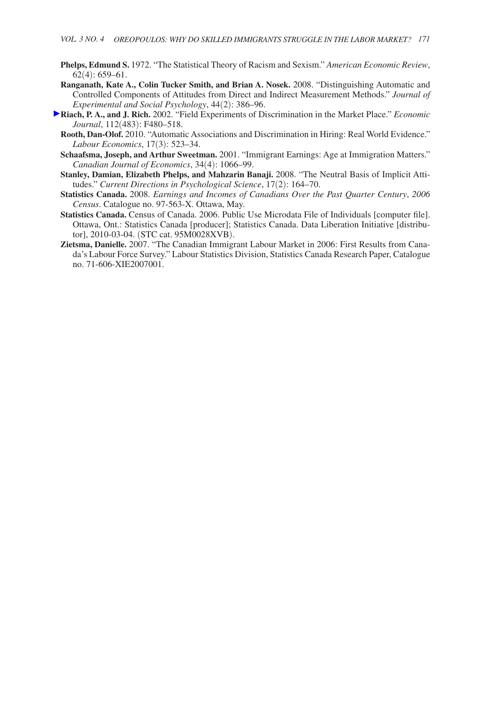- **Phelps, Edmund S.** 1972. "The Statistical Theory of Racism and Sexism." *American Economic Review*, 62(4): 659–61.
- **Ranganath, Kate A., Colin Tucker Smith, and Brian A. Nosek.** 2008. "Distinguishing Automatic and Controlled Components of Attitudes from Direct and Indirect Measurement Methods." *Journal of Experimental and Social Psychology*, 44(2): 386–96.
- **Riach, P. A., and J. Rich.** 2002. "Field Experiments of Discrimination in the Market Place." *Economic Journal*, 112(483): F480–518.
	- **Rooth, Dan-Olof.** 2010. "Automatic Associations and Discrimination in Hiring: Real World Evidence." *Labour Economics*, 17(3): 523–34.
	- **Schaafsma, Joseph, and Arthur Sweetman.** 2001. "Immigrant Earnings: Age at Immigration Matters." *Canadian Journal of Economics*, 34(4): 1066–99.
	- **Stanley, Damian, Elizabeth Phelps, and Mahzarin Banaji.** 2008. "The Neutral Basis of Implicit Attitudes." *Current Directions in Psychological Science*, 17(2): 164–70.
	- **Statistics Canada.** 2008. *Earnings and Incomes of Canadians Over the Past Quarter Century*, *2006 Census*. Catalogue no. 97-563-X. Ottawa, May.
	- **Statistics Canada.** Census of Canada. 2006. Public Use Microdata File of Individuals [computer file]. Ottawa, Ont.: Statistics Canada [producer]; Statistics Canada. Data Liberation Initiative [distributor], 2010-03-04. (STC cat. 95M0028XVB).
	- **Zietsma, Danielle.** 2007. "The Canadian Immigrant Labour Market in 2006: First Results from Canada's Labour Force Survey." Labour Statistics Division, Statistics Canada Research Paper, Catalogue no. 71-606-XIE2007001.